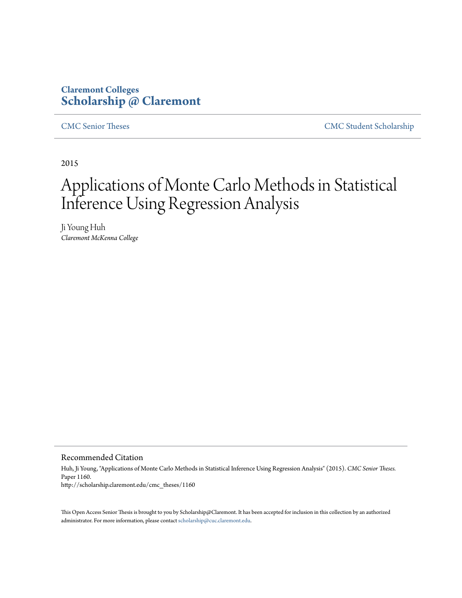# **Claremont Colleges [Scholarship @ Claremont](http://scholarship.claremont.edu)**

[CMC Senior Theses](http://scholarship.claremont.edu/cmc_theses) [CMC Student Scholarship](http://scholarship.claremont.edu/cmc_student)

2015

# Applications of Monte Carlo Methods in Statistical Inference Using Regression Analysis

Ji Young Huh *Claremont McKenna College*

Recommended Citation

Huh, Ji Young, "Applications of Monte Carlo Methods in Statistical Inference Using Regression Analysis" (2015). *CMC Senior Theses.* Paper 1160. http://scholarship.claremont.edu/cmc\_theses/1160

This Open Access Senior Thesis is brought to you by Scholarship@Claremont. It has been accepted for inclusion in this collection by an authorized administrator. For more information, please contact [scholarship@cuc.claremont.edu.](mailto:scholarship@cuc.claremont.edu)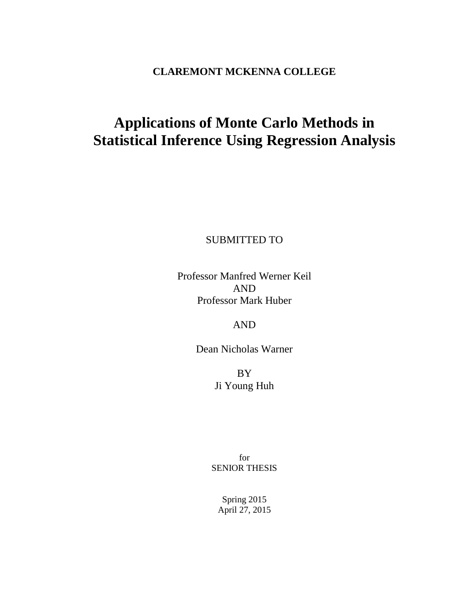# **CLAREMONT MCKENNA COLLEGE**

# **Applications of Monte Carlo Methods in Statistical Inference Using Regression Analysis**

SUBMITTED TO

Professor Manfred Werner Keil AND Professor Mark Huber

AND

Dean Nicholas Warner

BY Ji Young Huh

for SENIOR THESIS

Spring 2015 April 27, 2015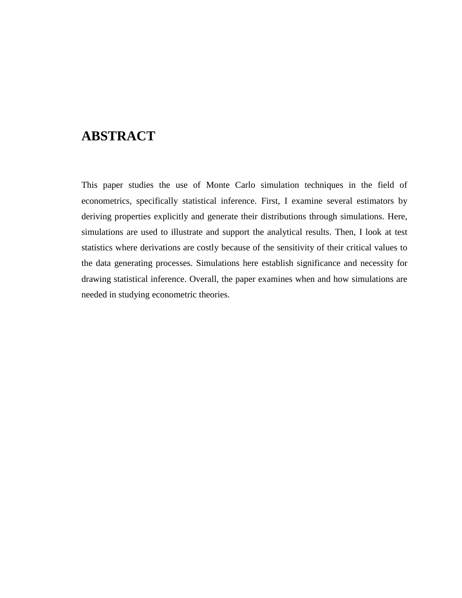# **ABSTRACT**

This paper studies the use of Monte Carlo simulation techniques in the field of econometrics, specifically statistical inference. First, I examine several estimators by deriving properties explicitly and generate their distributions through simulations. Here, simulations are used to illustrate and support the analytical results. Then, I look at test statistics where derivations are costly because of the sensitivity of their critical values to the data generating processes. Simulations here establish significance and necessity for drawing statistical inference. Overall, the paper examines when and how simulations are needed in studying econometric theories.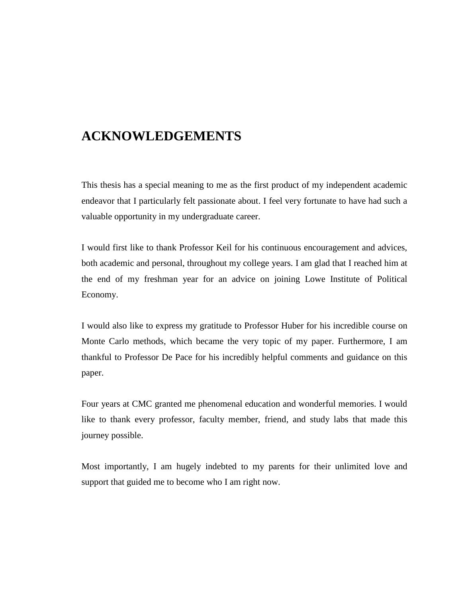# **ACKNOWLEDGEMENTS**

This thesis has a special meaning to me as the first product of my independent academic endeavor that I particularly felt passionate about. I feel very fortunate to have had such a valuable opportunity in my undergraduate career.

I would first like to thank Professor Keil for his continuous encouragement and advices, both academic and personal, throughout my college years. I am glad that I reached him at the end of my freshman year for an advice on joining Lowe Institute of Political Economy.

I would also like to express my gratitude to Professor Huber for his incredible course on Monte Carlo methods, which became the very topic of my paper. Furthermore, I am thankful to Professor De Pace for his incredibly helpful comments and guidance on this paper.

Four years at CMC granted me phenomenal education and wonderful memories. I would like to thank every professor, faculty member, friend, and study labs that made this journey possible.

Most importantly, I am hugely indebted to my parents for their unlimited love and support that guided me to become who I am right now.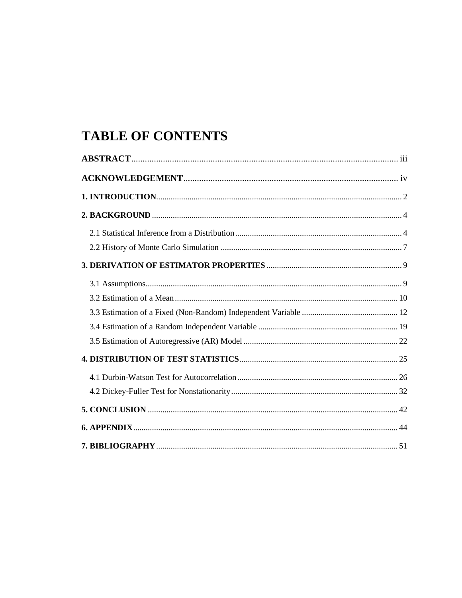# **TABLE OF CONTENTS**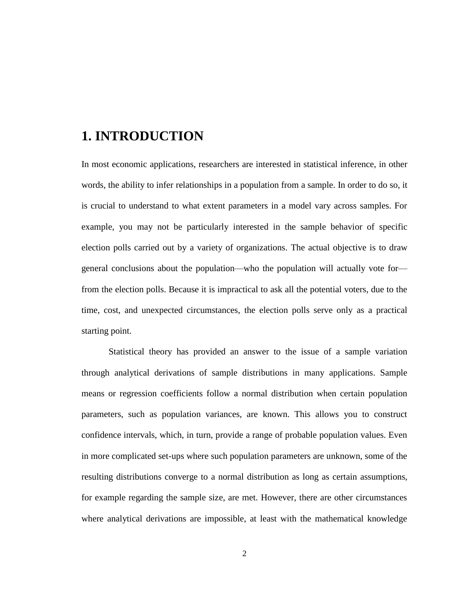# <span id="page-6-0"></span>**1. INTRODUCTION**

In most economic applications, researchers are interested in statistical inference, in other words, the ability to infer relationships in a population from a sample. In order to do so, it is crucial to understand to what extent parameters in a model vary across samples. For example, you may not be particularly interested in the sample behavior of specific election polls carried out by a variety of organizations. The actual objective is to draw general conclusions about the population—who the population will actually vote for from the election polls. Because it is impractical to ask all the potential voters, due to the time, cost, and unexpected circumstances, the election polls serve only as a practical starting point.

Statistical theory has provided an answer to the issue of a sample variation through analytical derivations of sample distributions in many applications. Sample means or regression coefficients follow a normal distribution when certain population parameters, such as population variances, are known. This allows you to construct confidence intervals, which, in turn, provide a range of probable population values. Even in more complicated set-ups where such population parameters are unknown, some of the resulting distributions converge to a normal distribution as long as certain assumptions, for example regarding the sample size, are met. However, there are other circumstances where analytical derivations are impossible, at least with the mathematical knowledge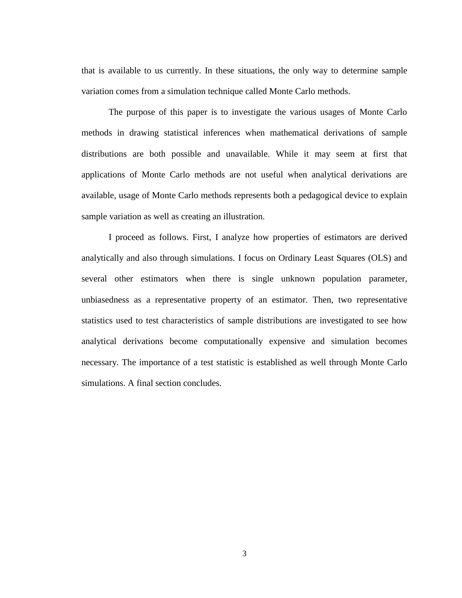that is available to us currently. In these situations, the only way to determine sample variation comes from a simulation technique called Monte Carlo methods.

The purpose of this paper is to investigate the various usages of Monte Carlo methods in drawing statistical inferences when mathematical derivations of sample distributions are both possible and unavailable. While it may seem at first that applications of Monte Carlo methods are not useful when analytical derivations are available, usage of Monte Carlo methods represents both a pedagogical device to explain sample variation as well as creating an illustration.

I proceed as follows. First, I analyze how properties of estimators are derived analytically and also through simulations. I focus on Ordinary Least Squares (OLS) and several other estimators when there is single unknown population parameter, unbiasedness as a representative property of an estimator. Then, two representative statistics used to test characteristics of sample distributions are investigated to see how analytical derivations become computationally expensive and simulation becomes necessary. The importance of a test statistic is established as well through Monte Carlo simulations. A final section concludes.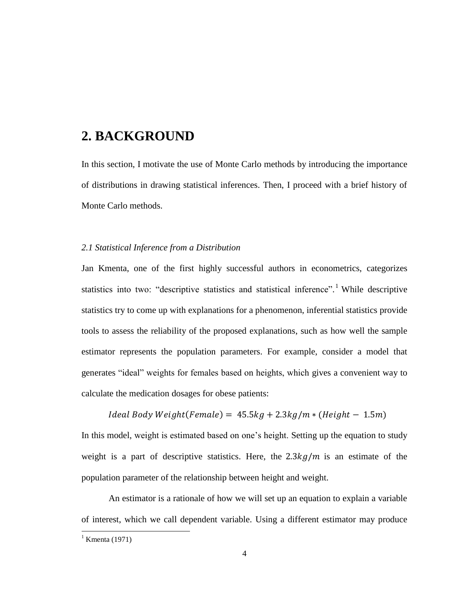# <span id="page-8-0"></span>**2. BACKGROUND**

In this section, I motivate the use of Monte Carlo methods by introducing the importance of distributions in drawing statistical inferences. Then, I proceed with a brief history of Monte Carlo methods.

# <span id="page-8-1"></span>*2.1 Statistical Inference from a Distribution*

Jan Kmenta, one of the first highly successful authors in econometrics, categorizes statistics into two: "descriptive statistics and statistical inference".<sup>1</sup> While descriptive statistics try to come up with explanations for a phenomenon, inferential statistics provide tools to assess the reliability of the proposed explanations, such as how well the sample estimator represents the population parameters. For example, consider a model that generates "ideal" weights for females based on heights, which gives a convenient way to calculate the medication dosages for obese patients:

# $Ideal Body Weight(Female) = 45.5kg + 2.3kg/m * (Height - 1.5m)$

In this model, weight is estimated based on one's height. Setting up the equation to study weight is a part of descriptive statistics. Here, the  $2.3kg/m$  is an estimate of the population parameter of the relationship between height and weight.

An estimator is a rationale of how we will set up an equation to explain a variable of interest, which we call dependent variable. Using a different estimator may produce

<sup>&</sup>lt;sup>1</sup> Kmenta (1971)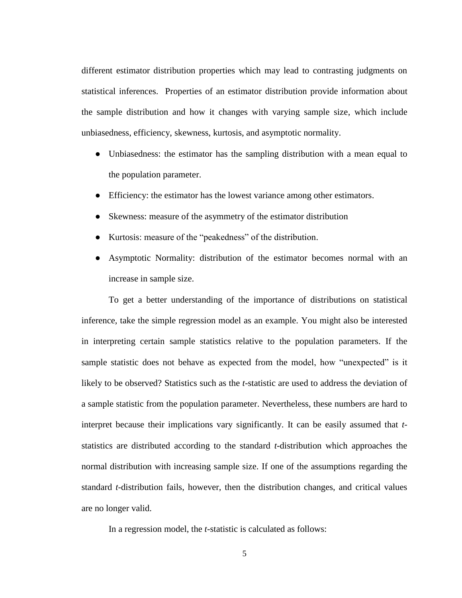different estimator distribution properties which may lead to contrasting judgments on statistical inferences. Properties of an estimator distribution provide information about the sample distribution and how it changes with varying sample size, which include unbiasedness, efficiency, skewness, kurtosis, and asymptotic normality.

- Unbiasedness: the estimator has the sampling distribution with a mean equal to the population parameter.
- Efficiency: the estimator has the lowest variance among other estimators.
- Skewness: measure of the asymmetry of the estimator distribution
- Kurtosis: measure of the "peakedness" of the distribution.
- Asymptotic Normality: distribution of the estimator becomes normal with an increase in sample size.

To get a better understanding of the importance of distributions on statistical inference, take the simple regression model as an example. You might also be interested in interpreting certain sample statistics relative to the population parameters. If the sample statistic does not behave as expected from the model, how "unexpected" is it likely to be observed? Statistics such as the *t*-statistic are used to address the deviation of a sample statistic from the population parameter. Nevertheless, these numbers are hard to interpret because their implications vary significantly. It can be easily assumed that *t*statistics are distributed according to the standard *t*-distribution which approaches the normal distribution with increasing sample size. If one of the assumptions regarding the standard *t*-distribution fails, however, then the distribution changes, and critical values are no longer valid.

In a regression model, the *t*-statistic is calculated as follows: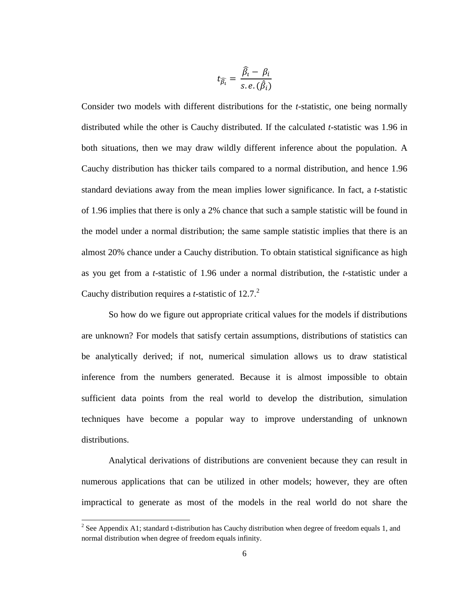$$
t_{\widehat{\beta_i}} = \frac{\widehat{\beta_i} - \beta_i}{s.e.(\widehat{\beta_i})}
$$

Consider two models with different distributions for the *t*-statistic, one being normally distributed while the other is Cauchy distributed. If the calculated *t*-statistic was 1.96 in both situations, then we may draw wildly different inference about the population. A Cauchy distribution has thicker tails compared to a normal distribution, and hence 1.96 standard deviations away from the mean implies lower significance. In fact, a *t*-statistic of 1.96 implies that there is only a 2% chance that such a sample statistic will be found in the model under a normal distribution; the same sample statistic implies that there is an almost 20% chance under a Cauchy distribution. To obtain statistical significance as high as you get from a *t*-statistic of 1.96 under a normal distribution, the *t*-statistic under a Cauchy distribution requires a *t*-statistic of 12.7. 2

So how do we figure out appropriate critical values for the models if distributions are unknown? For models that satisfy certain assumptions, distributions of statistics can be analytically derived; if not, numerical simulation allows us to draw statistical inference from the numbers generated. Because it is almost impossible to obtain sufficient data points from the real world to develop the distribution, simulation techniques have become a popular way to improve understanding of unknown distributions.

Analytical derivations of distributions are convenient because they can result in numerous applications that can be utilized in other models; however, they are often impractical to generate as most of the models in the real world do not share the

<sup>&</sup>lt;sup>2</sup> See Appendix A1; standard t-distribution has Cauchy distribution when degree of freedom equals 1, and normal distribution when degree of freedom equals infinity.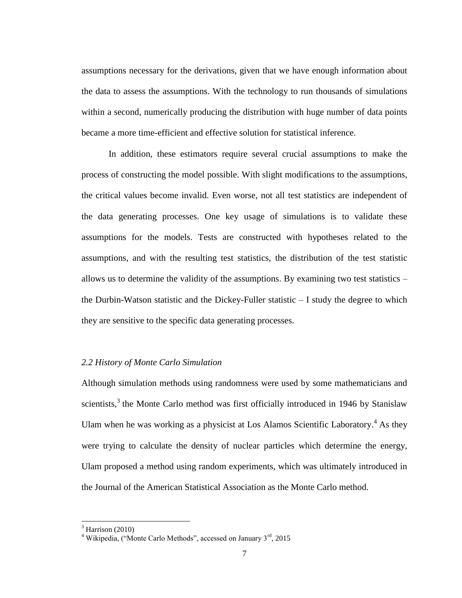assumptions necessary for the derivations, given that we have enough information about the data to assess the assumptions. With the technology to run thousands of simulations within a second, numerically producing the distribution with huge number of data points became a more time-efficient and effective solution for statistical inference.

In addition, these estimators require several crucial assumptions to make the process of constructing the model possible. With slight modifications to the assumptions, the critical values become invalid. Even worse, not all test statistics are independent of the data generating processes. One key usage of simulations is to validate these assumptions for the models. Tests are constructed with hypotheses related to the assumptions, and with the resulting test statistics, the distribution of the test statistic allows us to determine the validity of the assumptions. By examining two test statistics – the Durbin-Watson statistic and the Dickey-Fuller statistic  $-$  I study the degree to which they are sensitive to the specific data generating processes.

### <span id="page-11-0"></span>*2.2 History of Monte Carlo Simulation*

Although simulation methods using randomness were used by some mathematicians and scientists,<sup>3</sup> the Monte Carlo method was first officially introduced in 1946 by Stanislaw Ulam when he was working as a physicist at Los Alamos Scientific Laboratory.<sup>4</sup> As they were trying to calculate the density of nuclear particles which determine the energy, Ulam proposed a method using random experiments, which was ultimately introduced in the Journal of the American Statistical Association as the Monte Carlo method.

 $3$  Harrison (2010)

<sup>&</sup>lt;sup>4</sup> Wikipedia, ("Monte Carlo Methods", accessed on January  $3<sup>rd</sup>$ , 2015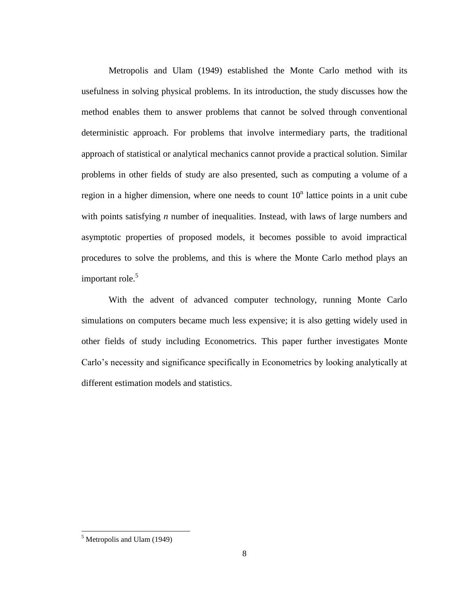Metropolis and Ulam (1949) established the Monte Carlo method with its usefulness in solving physical problems. In its introduction, the study discusses how the method enables them to answer problems that cannot be solved through conventional deterministic approach. For problems that involve intermediary parts, the traditional approach of statistical or analytical mechanics cannot provide a practical solution. Similar problems in other fields of study are also presented, such as computing a volume of a region in a higher dimension, where one needs to count  $10<sup>n</sup>$  lattice points in a unit cube with points satisfying *n* number of inequalities. Instead, with laws of large numbers and asymptotic properties of proposed models, it becomes possible to avoid impractical procedures to solve the problems, and this is where the Monte Carlo method plays an important role. 5

With the advent of advanced computer technology, running Monte Carlo simulations on computers became much less expensive; it is also getting widely used in other fields of study including Econometrics. This paper further investigates Monte Carlo's necessity and significance specifically in Econometrics by looking analytically at different estimation models and statistics.

 $<sup>5</sup>$  Metropolis and Ulam (1949)</sup>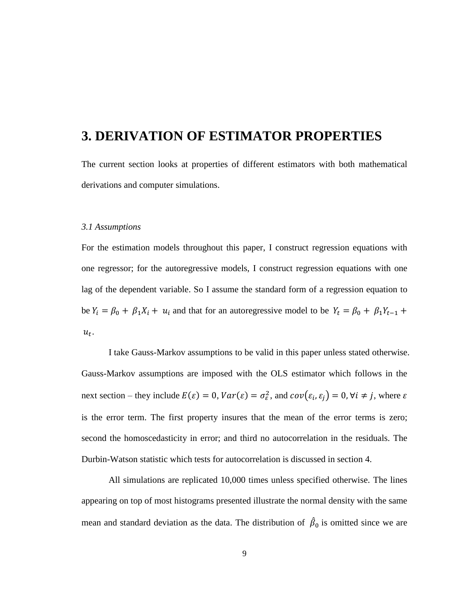# <span id="page-13-0"></span>**3. DERIVATION OF ESTIMATOR PROPERTIES**

The current section looks at properties of different estimators with both mathematical derivations and computer simulations.

### <span id="page-13-1"></span>*3.1 Assumptions*

For the estimation models throughout this paper, I construct regression equations with one regressor; for the autoregressive models, I construct regression equations with one lag of the dependent variable. So I assume the standard form of a regression equation to be  $Y_i = \beta_0 + \beta_1 X_i + u_i$  and that for an autoregressive model to be  $Y_t = \beta_0 + \beta_1 Y_{t-1} +$  $u_t$ .

I take Gauss-Markov assumptions to be valid in this paper unless stated otherwise. Gauss-Markov assumptions are imposed with the OLS estimator which follows in the next section – they include  $E(\varepsilon) = 0$ ,  $Var(\varepsilon) = \sigma_{\varepsilon}^2$ , and  $cov(\varepsilon_i, \varepsilon_i) = 0$ ,  $\forall i \neq j$ , where is the error term. The first property insures that the mean of the error terms is zero; second the homoscedasticity in error; and third no autocorrelation in the residuals. The Durbin-Watson statistic which tests for autocorrelation is discussed in section 4.

All simulations are replicated 10,000 times unless specified otherwise. The lines appearing on top of most histograms presented illustrate the normal density with the same mean and standard deviation as the data. The distribution of  $\hat{\beta}_0$  is omitted since we are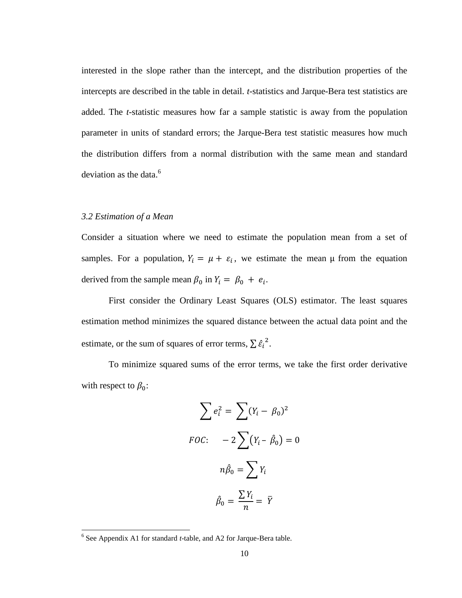interested in the slope rather than the intercept, and the distribution properties of the intercepts are described in the table in detail. *t*-statistics and Jarque-Bera test statistics are added. The *t*-statistic measures how far a sample statistic is away from the population parameter in units of standard errors; the Jarque-Bera test statistic measures how much the distribution differs from a normal distribution with the same mean and standard deviation as the data.<sup>6</sup>

# <span id="page-14-0"></span>*3.2 Estimation of a Mean*

Consider a situation where we need to estimate the population mean from a set of samples. For a population,  $Y_i = \mu + \varepsilon_i$ , we estimate the mean  $\mu$  from the equation derived from the sample mean  $\beta_0$  in  $Y_i = \beta_0 + e_i$ .

First consider the Ordinary Least Squares (OLS) estimator. The least squares estimation method minimizes the squared distance between the actual data point and the estimate, or the sum of squares of error terms,  $\sum \hat{\epsilon_i}^2$ .

To minimize squared sums of the error terms, we take the first order derivative with respect to  $\beta_0$ :

$$
\sum e_i^2 = \sum (Y_i - \beta_0)^2
$$
  
*FOC*: 
$$
-2\sum (Y_i - \hat{\beta}_0) = 0
$$
  

$$
n\hat{\beta}_0 = \sum Y_i
$$
  

$$
\hat{\beta}_0 = \frac{\sum Y_i}{n} = \overline{Y}
$$

<sup>6</sup> See Appendix A1 for standard *t*-table, and A2 for Jarque-Bera table.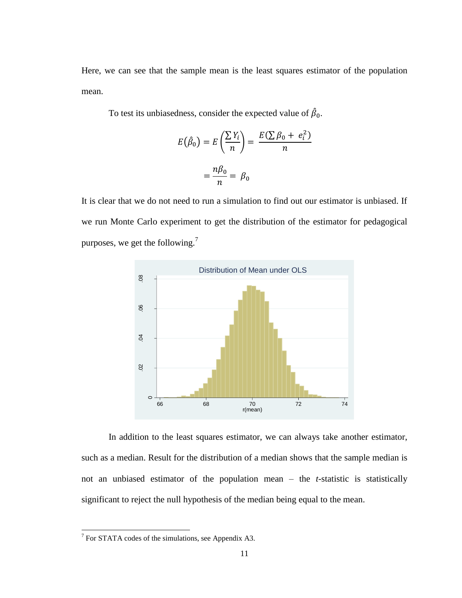Here, we can see that the sample mean is the least squares estimator of the population mean.

To test its unbiasedness, consider the expected value of  $\hat{\beta}_0$ .

$$
E(\hat{\beta}_0) = E\left(\frac{\sum Y_i}{n}\right) = \frac{E(\sum \beta_0 + e_i^2)}{n}
$$

$$
= \frac{n\beta_0}{n} = \beta_0
$$

It is clear that we do not need to run a simulation to find out our estimator is unbiased. If we run Monte Carlo experiment to get the distribution of the estimator for pedagogical purposes, we get the following.<sup>7</sup>



In addition to the least squares estimator, we can always take another estimator, such as a median. Result for the distribution of a median shows that the sample median is not an unbiased estimator of the population mean – the *t*-statistic is statistically significant to reject the null hypothesis of the median being equal to the mean.

<sup>&</sup>lt;sup>7</sup> For STATA codes of the simulations, see Appendix A3.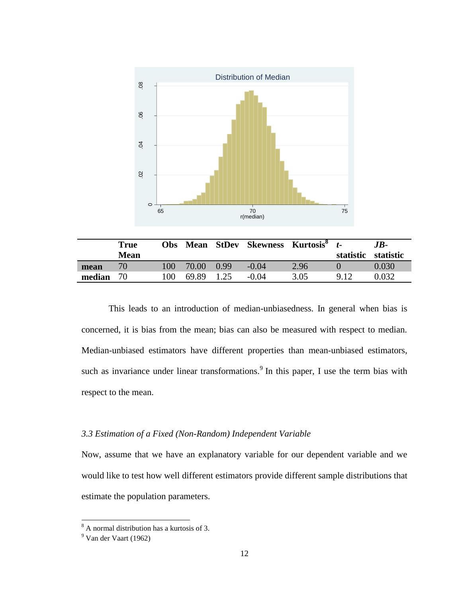

|        | True<br><b>Mean</b> | <b>Obs</b> |       |      | Mean StDev Skewness Kurtosis <sup>8</sup> |      | statistic | $JB-$<br>statistic |
|--------|---------------------|------------|-------|------|-------------------------------------------|------|-----------|--------------------|
| mean   | 70 <sub>1</sub>     | 100        | 70.00 | 0.99 | $-0.04$                                   | 2.96 |           | 0.030              |
| median | 70                  | 100        | 69.89 | 1.25 | $-0.04$                                   | 3.05 | 9.12      | .032               |

This leads to an introduction of median-unbiasedness. In general when bias is concerned, it is bias from the mean; bias can also be measured with respect to median. Median-unbiased estimators have different properties than mean-unbiased estimators, such as invariance under linear transformations.<sup>9</sup> In this paper, I use the term bias with respect to the mean.

# <span id="page-16-0"></span>*3.3 Estimation of a Fixed (Non-Random) Independent Variable*

Now, assume that we have an explanatory variable for our dependent variable and we would like to test how well different estimators provide different sample distributions that estimate the population parameters.

 $8<sup>8</sup>$  A normal distribution has a kurtosis of 3.

<sup>&</sup>lt;sup>9</sup> Van der Vaart (1962)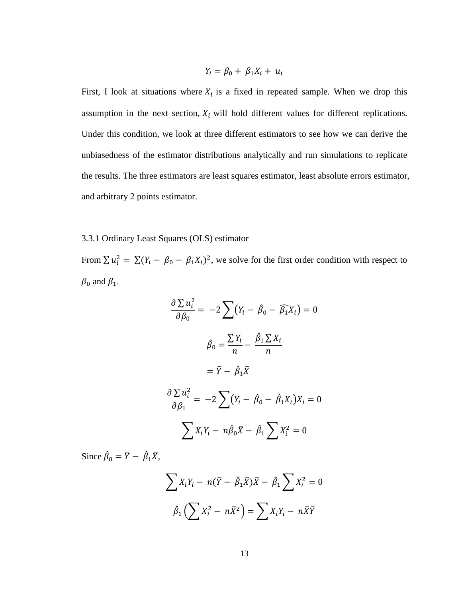$$
Y_i = \beta_0 + \beta_1 X_i + u_i
$$

First, I look at situations where  $X_i$  is a fixed in repeated sample. When we drop this assumption in the next section,  $X_i$  will hold different values for different replications. Under this condition, we look at three different estimators to see how we can derive the unbiasedness of the estimator distributions analytically and run simulations to replicate the results. The three estimators are least squares estimator, least absolute errors estimator, and arbitrary 2 points estimator.

## 3.3.1 Ordinary Least Squares (OLS) estimator

From  $\sum u_i^2 = \sum (Y_i - \beta_0 - \beta_1 X_i)^2$ , we solve for the first order condition with respect to  $\beta_0$  and  $\beta_1$ .

$$
\frac{\partial \sum u_i^2}{\partial \beta_0} = -2 \sum (Y_i - \hat{\beta}_0 - \widehat{\beta}_1 X_i) = 0
$$

$$
\hat{\beta}_0 = \frac{\sum Y_i}{n} - \frac{\hat{\beta}_1 \sum X_i}{n}
$$

$$
= \overline{Y} - \hat{\beta}_1 \overline{X}
$$

$$
\frac{\partial \sum u_i^2}{\partial \beta_1} = -2 \sum (Y_i - \hat{\beta}_0 - \hat{\beta}_1 X_i) X_i = 0
$$

$$
\sum X_i Y_i - n \hat{\beta}_0 \overline{X} - \hat{\beta}_1 \sum X_i^2 = 0
$$

Since  $\hat{\beta}_0 = \overline{Y} - \hat{\beta}_1 \overline{X}$ ,

$$
\sum X_i Y_i - n(\bar{Y} - \hat{\beta}_1 \bar{X})\bar{X} - \hat{\beta}_1 \sum X_i^2 = 0
$$

$$
\hat{\beta}_1 \left( \sum X_i^2 - n\bar{X}^2 \right) = \sum X_i Y_i - n\bar{X}\bar{Y}
$$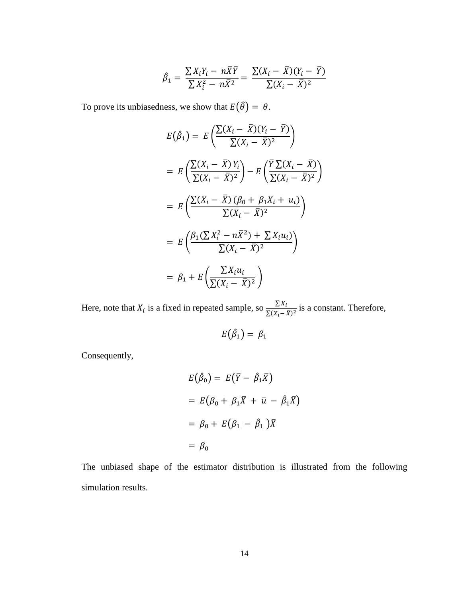$$
\hat{\beta}_1 = \frac{\sum X_i Y_i - n\overline{X}\overline{Y}}{\sum X_i^2 - n\overline{X}^2} = \frac{\sum (X_i - \overline{X})(Y_i - \overline{Y})}{\sum (X_i - \overline{X})^2}
$$

To prove its unbiasedness, we show that  $E(\hat{\theta}) = \theta$ .

$$
E(\hat{\beta}_1) = E\left(\frac{\sum (X_i - \bar{X})(Y_i - \bar{Y})}{\sum (X_i - \bar{X})^2}\right)
$$
  
\n
$$
= E\left(\frac{\sum (X_i - \bar{X})Y_i}{\sum (X_i - \bar{X})^2}\right) - E\left(\frac{\bar{Y}\sum (X_i - \bar{X})^2}{\sum (X_i - \bar{X})^2}\right)
$$
  
\n
$$
= E\left(\frac{\sum (X_i - \bar{X})(\beta_0 + \beta_1 X_i + u_i)}{\sum (X_i - \bar{X})^2}\right)
$$
  
\n
$$
= E\left(\frac{\beta_1(\sum X_i^2 - n\bar{X}^2) + \sum X_i u_i}{\sum (X_i - \bar{X})^2}\right)
$$
  
\n
$$
= \beta_1 + E\left(\frac{\sum X_i u_i}{\sum (X_i - \bar{X})^2}\right)
$$

)

Here, note that  $X_i$  is a fixed in repeated sample, so  $\frac{\sum X_i}{\sum (X_i - \bar{X})^2}$  is a constant. Therefore,

$$
E(\hat{\beta}_1) = \beta_1
$$

Consequently,

$$
E(\hat{\beta}_0) = E(\bar{Y} - \hat{\beta}_1 \bar{X})
$$
  
=  $E(\beta_0 + \beta_1 \bar{X} + \bar{u} - \hat{\beta}_1 \bar{X})$   
=  $\beta_0 + E(\beta_1 - \hat{\beta}_1) \bar{X}$   
=  $\beta_0$ 

The unbiased shape of the estimator distribution is illustrated from the following simulation results.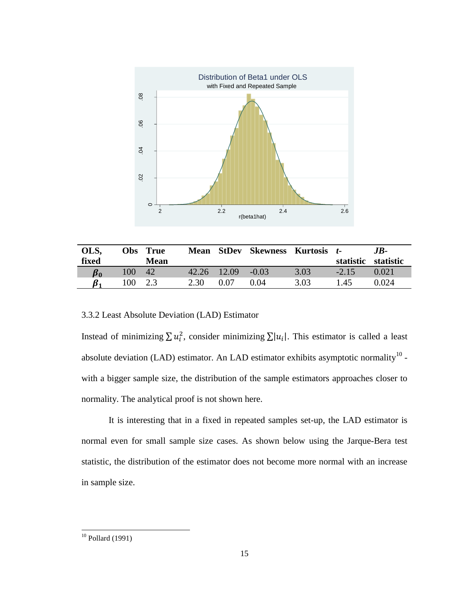

| OLS,            |     | Obs True    | Mean        | StDev | <b>Skewness Kurtosis t-</b> |      |           | .IB-      |
|-----------------|-----|-------------|-------------|-------|-----------------------------|------|-----------|-----------|
| fixed           |     | <b>Mean</b> |             |       |                             |      | statistic | statistic |
| $\pmb{\beta}_0$ | 100 | 42          | 42.26 12.09 |       | $-0.03$                     | 3.03 | $-2.15$   | 0.021     |
|                 | 100 | 2.3         | 2.30        | 0.07  | 0.04                        | 3.03 | .45       | 0.024     |

## 3.3.2 Least Absolute Deviation (LAD) Estimator

Instead of minimizing  $\sum u_i^2$ , consider minimizing  $\sum |u_i|$ . This estimator is called a least absolute deviation (LAD) estimator. An LAD estimator exhibits asymptotic normality  $10$  with a bigger sample size, the distribution of the sample estimators approaches closer to normality. The analytical proof is not shown here.

It is interesting that in a fixed in repeated samples set-up, the LAD estimator is normal even for small sample size cases. As shown below using the Jarque-Bera test statistic, the distribution of the estimator does not become more normal with an increase in sample size.

 $10$  Pollard (1991)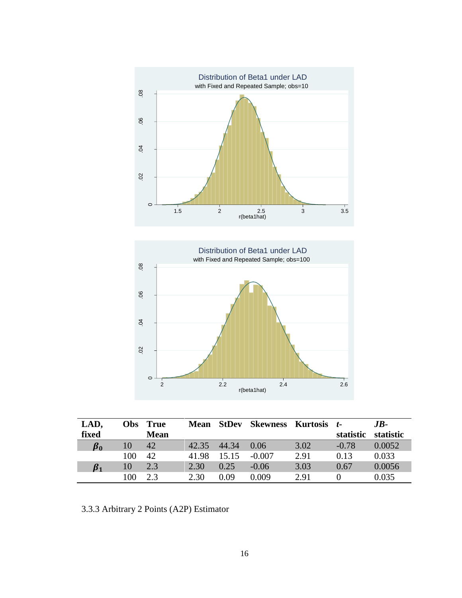

| LAD,            | <b>Obs</b> | <b>True</b> | <b>Mean</b> | <b>StDev</b> | Skewness | Kurtosis | $t-$      | $JB-$     |
|-----------------|------------|-------------|-------------|--------------|----------|----------|-----------|-----------|
| fixed           |            | <b>Mean</b> |             |              |          |          | statistic | statistic |
| $\pmb{\beta}_0$ | 10         | 42          | 42.35       | 44.34        | 0.06     | 3.02     | $-0.78$   | 0.0052    |
|                 | 100        | 42          | 41.98       | 15.15        | $-0.007$ | 2.91     | 0.13      | 0.033     |
| $\pmb{\beta}_1$ | 10         | 2.3         | 2.30        | 0.25         | $-0.06$  | 3.03     | 0.67      | 0.0056    |
|                 | 100        | 2.3         | 2.30        | 0.09         | 0.009    | 2.91     |           | 0.035     |

3.3.3 Arbitrary 2 Points (A2P) Estimator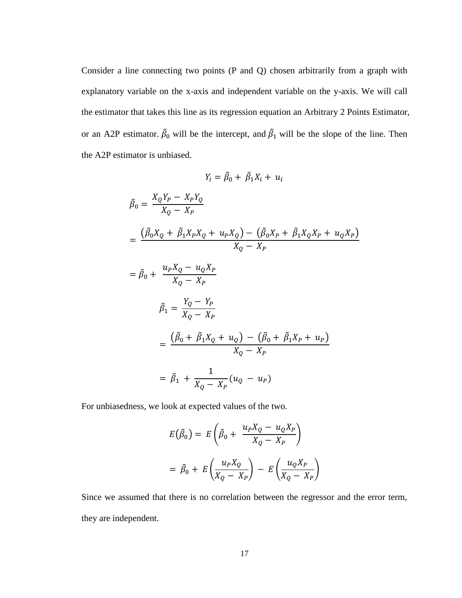Consider a line connecting two points (P and Q) chosen arbitrarily from a graph with explanatory variable on the x-axis and independent variable on the y-axis. We will call the estimator that takes this line as its regression equation an Arbitrary 2 Points Estimator, or an A2P estimator.  $\tilde{\beta}_0$  will be the intercept, and  $\tilde{\beta}_1$  will be the slope of the line. Then the A2P estimator is unbiased.

$$
Y_i = \tilde{\beta}_0 + \tilde{\beta}_1 X_i + u_i
$$
  
\n
$$
\tilde{\beta}_0 = \frac{X_Q Y_P - X_P Y_Q}{X_Q - X_P}
$$
  
\n
$$
= \frac{(\tilde{\beta}_0 X_Q + \tilde{\beta}_1 X_P X_Q + u_P X_Q) - (\tilde{\beta}_0 X_P + \tilde{\beta}_1 X_Q X_P + u_Q X_P)}{X_Q - X_P}
$$
  
\n
$$
= \tilde{\beta}_0 + \frac{u_P X_Q - u_Q X_P}{X_Q - X_P}
$$
  
\n
$$
\tilde{\beta}_1 = \frac{Y_Q - Y_P}{X_Q - X_P}
$$
  
\n
$$
= \frac{(\tilde{\beta}_0 + \tilde{\beta}_1 X_Q + u_Q) - (\tilde{\beta}_0 + \tilde{\beta}_1 X_P + u_P)}{X_Q - X_P}
$$
  
\n
$$
= \tilde{\beta}_1 + \frac{1}{X_Q - X_P} (u_Q - u_P)
$$

For unbiasedness, we look at expected values of the two.

$$
E(\tilde{\beta}_0) = E\left(\tilde{\beta}_0 + \frac{u_P X_Q - u_Q X_P}{X_Q - X_P}\right)
$$

$$
= \tilde{\beta}_0 + E\left(\frac{u_P X_Q}{X_Q - X_P}\right) - E\left(\frac{u_Q X_P}{X_Q - X_P}\right)
$$

Since we assumed that there is no correlation between the regressor and the error term, they are independent.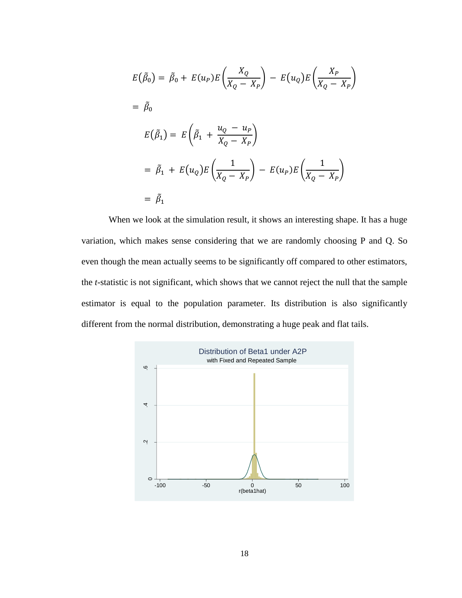$$
E(\tilde{\beta}_0) = \tilde{\beta}_0 + E(u_P)E\left(\frac{X_Q}{X_Q - X_P}\right) - E(u_Q)E\left(\frac{X_P}{X_Q - X_P}\right)
$$
  
=  $\tilde{\beta}_0$   

$$
E(\tilde{\beta}_1) = E\left(\tilde{\beta}_1 + \frac{u_Q - u_P}{X_Q - X_P}\right)
$$
  
=  $\tilde{\beta}_1 + E(u_Q)E\left(\frac{1}{X_Q - X_P}\right) - E(u_P)E\left(\frac{1}{X_Q - X_P}\right)$   
=  $\tilde{\beta}_1$ 

When we look at the simulation result, it shows an interesting shape. It has a huge variation, which makes sense considering that we are randomly choosing P and Q. So even though the mean actually seems to be significantly off compared to other estimators, the *t*-statistic is not significant, which shows that we cannot reject the null that the sample estimator is equal to the population parameter. Its distribution is also significantly different from the normal distribution, demonstrating a huge peak and flat tails.

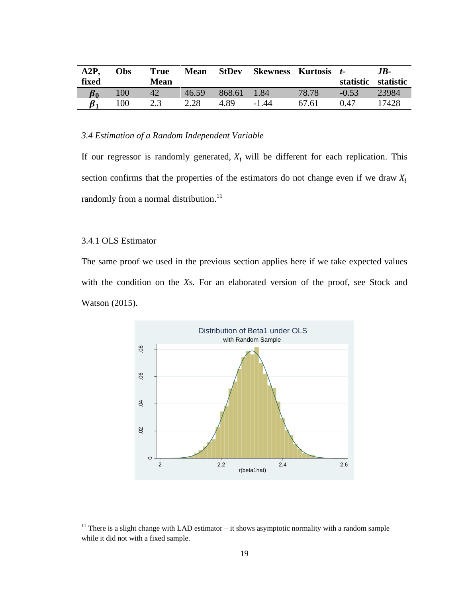| A2P             | Obs | True | <b>Mean</b> | <b>StDev</b> | <b>Skewness</b> | Kurtosis | $\mathbf{t}$ | .IB-      |
|-----------------|-----|------|-------------|--------------|-----------------|----------|--------------|-----------|
| fixed           |     | Mean |             |              |                 |          | statistic    | statistic |
| $\pmb{\beta}_0$ | 100 |      | 46.59       | 868.61       | 1.84            | 78.78    | $-0.53$      | 23984     |
|                 | 100 | 2.3  | 2.28        | 4.89         | $-1.44$         | 67.61    | 0.47         | 7428      |

### <span id="page-23-0"></span>*3.4 Estimation of a Random Independent Variable*

If our regressor is randomly generated,  $X_i$  will be different for each replication. This section confirms that the properties of the estimators do not change even if we draw  $X_i$ randomly from a normal distribution.<sup>11</sup>

### 3.4.1 OLS Estimator

The same proof we used in the previous section applies here if we take expected values with the condition on the *X*s. For an elaborated version of the proof, see Stock and Watson (2015).



<sup>&</sup>lt;sup>11</sup> There is a slight change with LAD estimator  $-$  it shows asymptotic normality with a random sample while it did not with a fixed sample.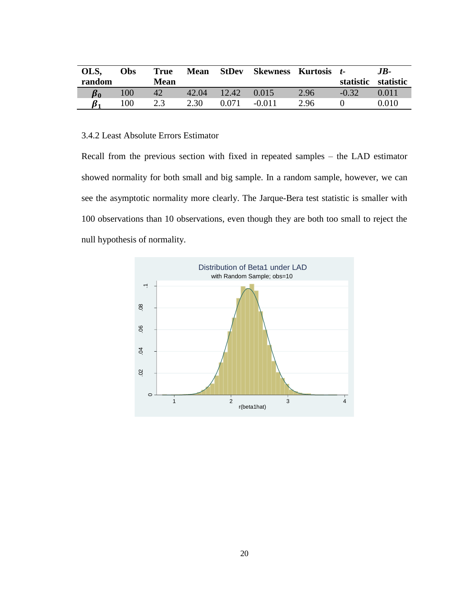| OLS,<br>random  | Obs | <b>True</b><br>Mean | <b>Mean</b> | StDev | Skewness | Kurtosis t- | statistic | .IB-<br>statistic |
|-----------------|-----|---------------------|-------------|-------|----------|-------------|-----------|-------------------|
| $\pmb{\beta}_0$ | 100 | 42                  | 42.04       | 12.42 | 0.015    | 2.96        | $-0.32$   | 0.011             |
|                 | 100 | 2.3                 | 2.30        | 0.071 | $-0.011$ | 2.96        |           | $0.010\,$         |

# 3.4.2 Least Absolute Errors Estimator

Recall from the previous section with fixed in repeated samples – the LAD estimator showed normality for both small and big sample. In a random sample, however, we can see the asymptotic normality more clearly. The Jarque-Bera test statistic is smaller with 100 observations than 10 observations, even though they are both too small to reject the null hypothesis of normality.

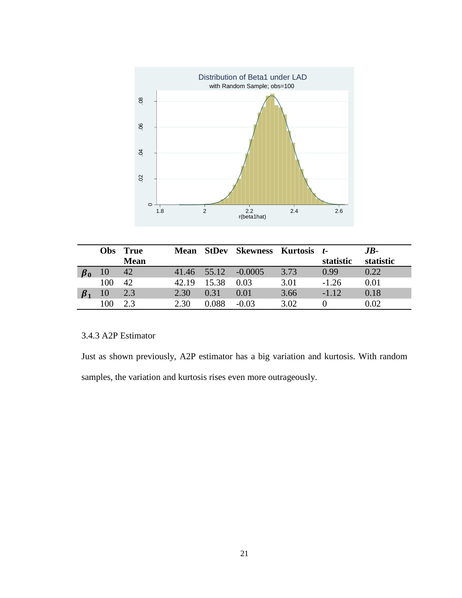

| <b>Obs</b> | <b>True</b> |       |       | Mean StDev Skewness Kurtosis t- |      |           | $JB-$     |
|------------|-------------|-------|-------|---------------------------------|------|-----------|-----------|
|            | <b>Mean</b> |       |       |                                 |      | statistic | statistic |
|            | 42          |       |       | 41.46 55.12 -0.0005             | 3.73 | 0.99      | 0.22      |
| 100        | 42          | 42.19 | 15.38 | 0.03                            | 3.01 | $-1.26$   | 0.01      |
| 10         | 2.3         | 2.30  | 0.31  | 0.01                            | 3.66 | $-1.12$   | 0.18      |
| 100        | 23          | 2.30  | 0.088 | $-0.03$                         | 3.02 |           | 0.02      |

# 3.4.3 A2P Estimator

Just as shown previously, A2P estimator has a big variation and kurtosis. With random samples, the variation and kurtosis rises even more outrageously.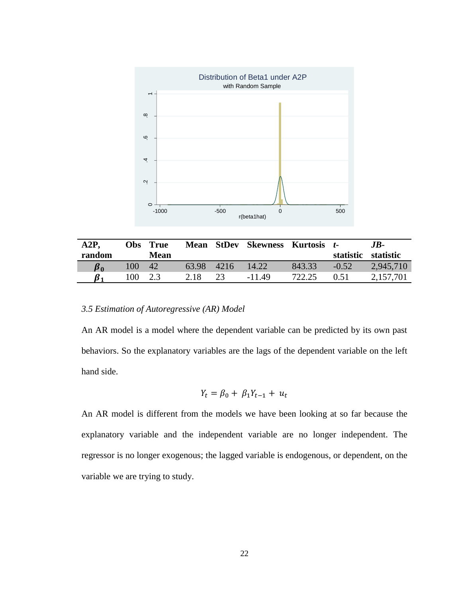

| A2P,            | Obs | <b>True</b> | <b>Mean</b> | StDev | <b>Skewness Kurtosis t-</b> |        |           | .JB-      |
|-----------------|-----|-------------|-------------|-------|-----------------------------|--------|-----------|-----------|
| random          |     | Mean        |             |       |                             |        | statistic | statistic |
| $\pmb{\beta}_0$ | 100 | 42          | 63.98       | 4216  | 14.22                       | 843.33 | $-0.52$   | 2,945,710 |
|                 | 100 |             | 2.18        | 23    | $-11.49$                    | 722.25 | 0.51      | 2,157,701 |

# <span id="page-26-0"></span>*3.5 Estimation of Autoregressive (AR) Model*

An AR model is a model where the dependent variable can be predicted by its own past behaviors. So the explanatory variables are the lags of the dependent variable on the left hand side.

$$
Y_t = \beta_0 + \beta_1 Y_{t-1} + u_t
$$

An AR model is different from the models we have been looking at so far because the explanatory variable and the independent variable are no longer independent. The regressor is no longer exogenous; the lagged variable is endogenous, or dependent, on the variable we are trying to study.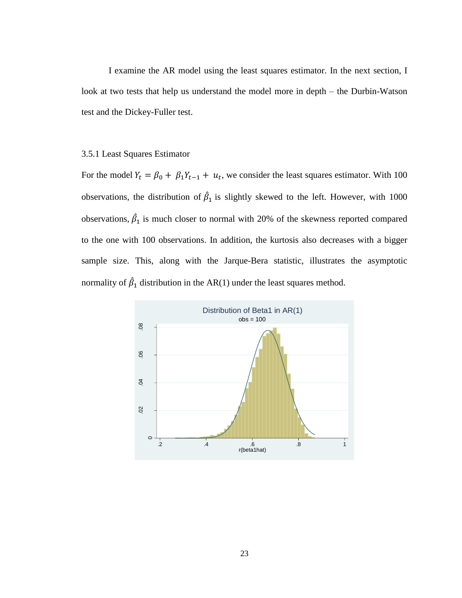I examine the AR model using the least squares estimator. In the next section, I look at two tests that help us understand the model more in depth – the Durbin-Watson test and the Dickey-Fuller test.

### 3.5.1 Least Squares Estimator

For the model  $Y_t = \beta_0 + \beta_1 Y_{t-1} + u_t$ , we consider the least squares estimator. With 100 observations, the distribution of  $\hat{\beta}_1$  is slightly skewed to the left. However, with 1000 observations,  $\hat{\beta}_1$  is much closer to normal with 20% of the skewness reported compared to the one with 100 observations. In addition, the kurtosis also decreases with a bigger sample size. This, along with the Jarque-Bera statistic, illustrates the asymptotic normality of  $\hat{\beta}_1$  distribution in the AR(1) under the least squares method.

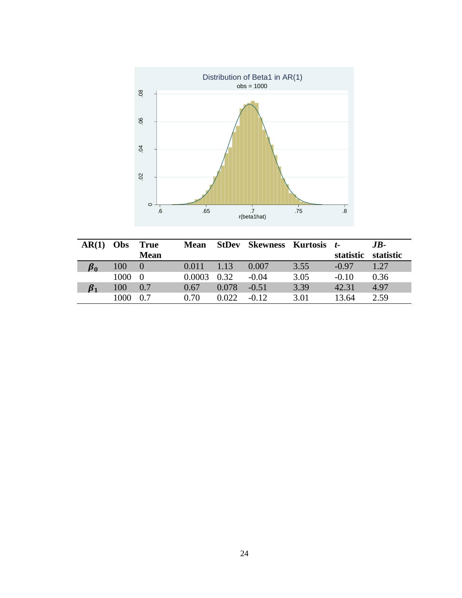

| AR(1)     | Obs  | <b>True</b> | <b>Mean</b> | <b>StDev</b> | <b>Skewness Kurtosis</b> |      | $\mathbf{t}$ | $JB-$     |
|-----------|------|-------------|-------------|--------------|--------------------------|------|--------------|-----------|
|           |      | <b>Mean</b> |             |              |                          |      | statistic    | statistic |
| $\beta_0$ | 100  | $\Omega$    | 0.011       | 1.13         | 0.007                    | 3.55 | $-0.97$      | 1.27      |
|           | 1000 | $\Omega$    | 0.0003      | 0.32         | $-0.04$                  | 3.05 | $-0.10$      | 0.36      |
| B1        | 100  | 0.7         | 0.67        | 0.078        | $-0.51$                  | 3.39 | 42.31        | 4.97      |
|           | 1000 | 0.7         | 0.70        | 0.022        | $-0.12$                  | 3.01 | 13.64        | 2.59      |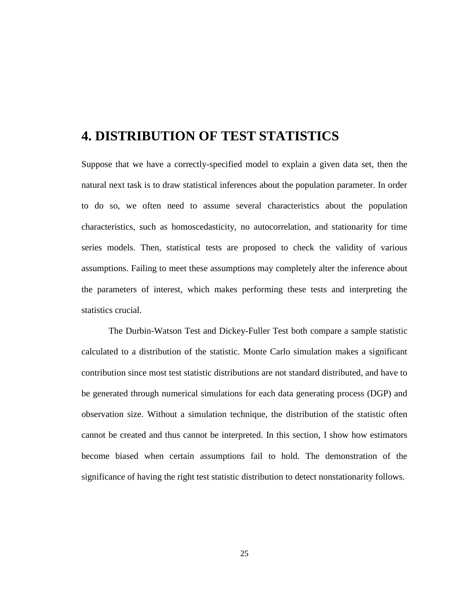# <span id="page-29-0"></span>**4. DISTRIBUTION OF TEST STATISTICS**

Suppose that we have a correctly-specified model to explain a given data set, then the natural next task is to draw statistical inferences about the population parameter. In order to do so, we often need to assume several characteristics about the population characteristics, such as homoscedasticity, no autocorrelation, and stationarity for time series models. Then, statistical tests are proposed to check the validity of various assumptions. Failing to meet these assumptions may completely alter the inference about the parameters of interest, which makes performing these tests and interpreting the statistics crucial.

The Durbin-Watson Test and Dickey-Fuller Test both compare a sample statistic calculated to a distribution of the statistic. Monte Carlo simulation makes a significant contribution since most test statistic distributions are not standard distributed, and have to be generated through numerical simulations for each data generating process (DGP) and observation size. Without a simulation technique, the distribution of the statistic often cannot be created and thus cannot be interpreted. In this section, I show how estimators become biased when certain assumptions fail to hold. The demonstration of the significance of having the right test statistic distribution to detect nonstationarity follows.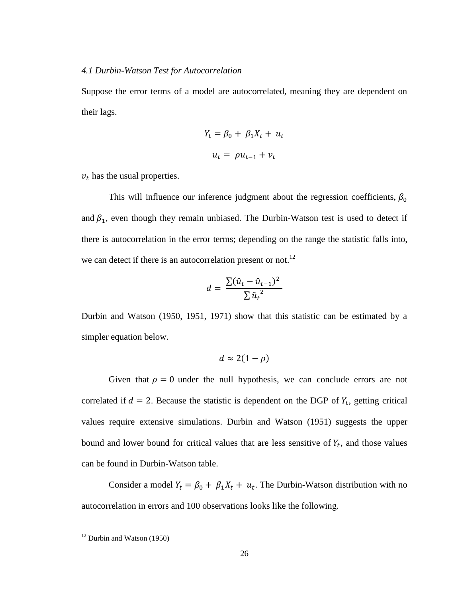### <span id="page-30-0"></span>*4.1 Durbin-Watson Test for Autocorrelation*

Suppose the error terms of a model are autocorrelated, meaning they are dependent on their lags.

$$
Y_t = \beta_0 + \beta_1 X_t + u_t
$$

$$
u_t = \rho u_{t-1} + v_t
$$

 $v_t$  has the usual properties.

This will influence our inference judgment about the regression coefficients,  $\beta_0$ and  $\beta_1$ , even though they remain unbiased. The Durbin-Watson test is used to detect if there is autocorrelation in the error terms; depending on the range the statistic falls into, we can detect if there is an autocorrelation present or not.<sup>12</sup>

$$
d = \frac{\sum (\hat{u}_t - \hat{u}_{t-1})^2}{\sum \hat{u}_t^2}
$$

Durbin and Watson (1950, 1951, 1971) show that this statistic can be estimated by a simpler equation below.

$$
d\approx 2(1-\rho)
$$

Given that  $\rho = 0$  under the null hypothesis, we can conclude errors are not correlated if  $d = 2$ . Because the statistic is dependent on the DGP of  $Y_t$ , getting critical values require extensive simulations. Durbin and Watson (1951) suggests the upper bound and lower bound for critical values that are less sensitive of  $Y_t$ , and those values can be found in Durbin-Watson table.

Consider a model  $Y_t = \beta_0 + \beta_1 X_t + u_t$ . The Durbin-Watson distribution with no autocorrelation in errors and 100 observations looks like the following.

 $12$  Durbin and Watson (1950)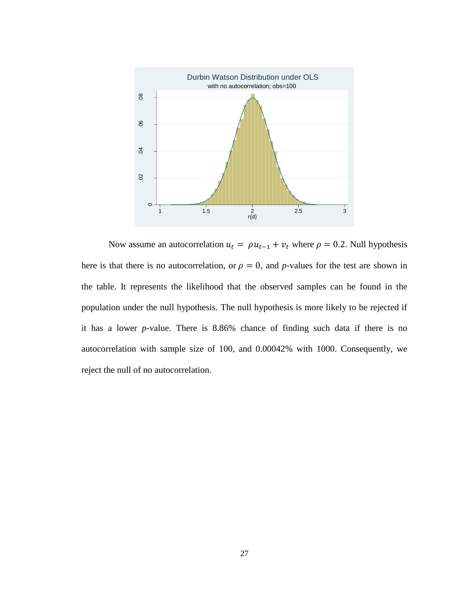

Now assume an autocorrelation  $u_t = \rho u_{t-1} + v_t$  where  $\rho = 0.2$ . Null hypothesis here is that there is no autocorrelation, or  $\rho = 0$ , and *p*-values for the test are shown in the table. It represents the likelihood that the observed samples can be found in the population under the null hypothesis. The null hypothesis is more likely to be rejected if it has a lower *p*-value. There is 8.86% chance of finding such data if there is no autocorrelation with sample size of 100, and 0.00042% with 1000. Consequently, we reject the null of no autocorrelation.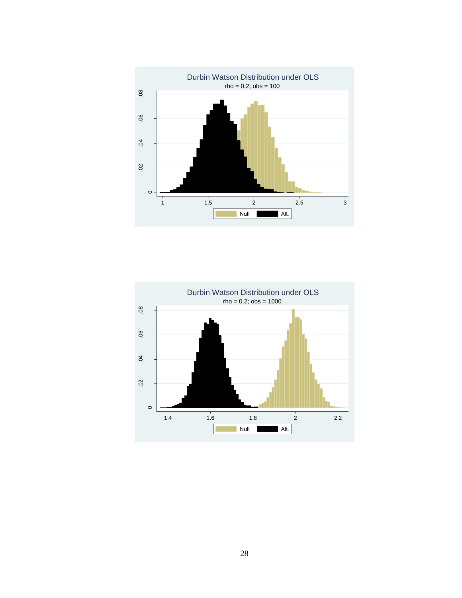

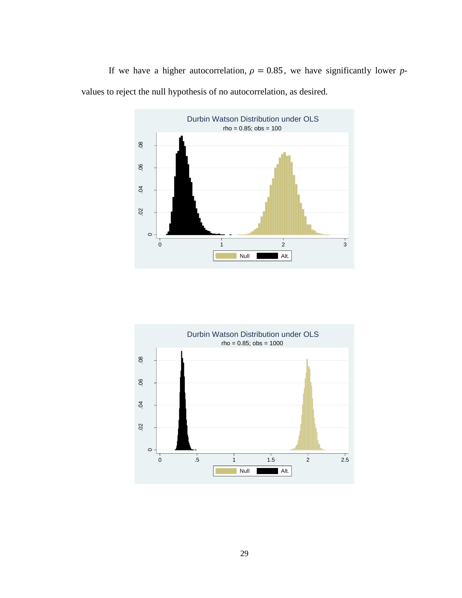If we have a higher autocorrelation,  $\rho = 0.85$ , we have significantly lower *p*values to reject the null hypothesis of no autocorrelation, as desired.



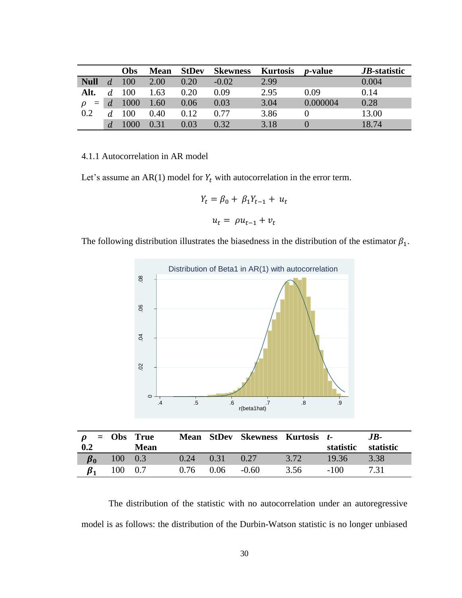|               |                | Obs  | <b>Mean</b> | <b>StDev</b> | <b>Skewness</b> | <b>Kurtosis</b> | <i>p</i> -value | <i>JB</i> -statistic |
|---------------|----------------|------|-------------|--------------|-----------------|-----------------|-----------------|----------------------|
| <b>Null</b>   |                | 100  | 2.00        | 0.20         | $-0.02$         | 2.99            |                 | 0.004                |
| Alt.          |                | 100  | 1.63        | 0.20         | 0.09            | 2.95            | 0.09            | 0.14                 |
| $=$<br>$\rho$ | $\overline{d}$ | 1000 | 1.60        | 0.06         | 0.03            | 3.04            | 0.000004        | 0.28                 |
| 0.2           |                | 100  | 0.40        | 0.12         | 0.77            | 3.86            |                 | 13.00                |
|               | d              |      |             | 0.03         | 0.32            | 3.18            |                 | 18.74                |

## 4.1.1 Autocorrelation in AR model

Let's assume an AR(1) model for  $Y_t$  with autocorrelation in the error term.

$$
Y_t = \beta_0 + \beta_1 Y_{t-1} + u_t
$$

$$
u_t = \rho u_{t-1} + v_t
$$

The following distribution illustrates the biasedness in the distribution of the estimator  $\beta_1$ .



| $\rho$ = Obs True |              |             |      |                  | Mean StDev Skewness Kurtosis t- |      |           | .IB-      |
|-------------------|--------------|-------------|------|------------------|---------------------------------|------|-----------|-----------|
| 0.2               |              | <b>Mean</b> |      |                  |                                 |      | statistic | statistic |
|                   | $100 \t 0.3$ |             | 0.24 | $\setminus$ 0.31 | 0.27                            | 3.72 | 19.36     | 3.38      |
|                   | 100 0.7      |             | 0.76 | 0.06             | $-0.60$                         | 3.56 | $-100$    | 7.31      |

The distribution of the statistic with no autocorrelation under an autoregressive model is as follows: the distribution of the Durbin-Watson statistic is no longer unbiased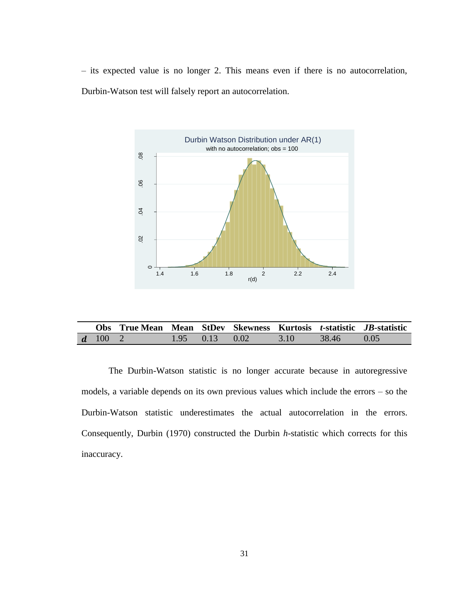– its expected value is no longer 2. This means even if there is no autocorrelation, Durbin-Watson test will falsely report an autocorrelation.



|               | Obs True Mean Mean StDev Skewness Kurtosis t-statistic JB-statistic |                      |      |              |  |
|---------------|---------------------------------------------------------------------|----------------------|------|--------------|--|
| $d = 100 - 2$ |                                                                     | $1.95$ $0.13$ $0.02$ | 3.10 | $38.46$ 0.05 |  |

The Durbin-Watson statistic is no longer accurate because in autoregressive models, a variable depends on its own previous values which include the errors – so the Durbin-Watson statistic underestimates the actual autocorrelation in the errors. Consequently, Durbin (1970) constructed the Durbin *h*-statistic which corrects for this inaccuracy.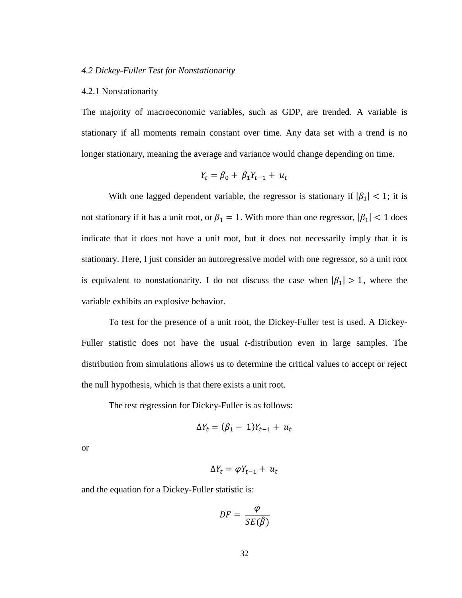#### <span id="page-36-0"></span>*4.2 Dickey-Fuller Test for Nonstationarity*

### 4.2.1 Nonstationarity

The majority of macroeconomic variables, such as GDP, are trended. A variable is stationary if all moments remain constant over time. Any data set with a trend is no longer stationary, meaning the average and variance would change depending on time.

$$
Y_t = \beta_0 + \beta_1 Y_{t-1} + u_t
$$

With one lagged dependent variable, the regressor is stationary if  $|\beta_1| < 1$ ; it is not stationary if it has a unit root, or  $\beta_1 = 1$ . With more than one regressor,  $|\beta_1| < 1$  does indicate that it does not have a unit root, but it does not necessarily imply that it is stationary. Here, I just consider an autoregressive model with one regressor, so a unit root is equivalent to nonstationarity. I do not discuss the case when  $|\beta_1| > 1$ , where the variable exhibits an explosive behavior.

To test for the presence of a unit root, the Dickey-Fuller test is used. A Dickey-Fuller statistic does not have the usual *t*-distribution even in large samples. The distribution from simulations allows us to determine the critical values to accept or reject the null hypothesis, which is that there exists a unit root.

The test regression for Dickey-Fuller is as follows:

$$
\Delta Y_t = (\beta_1 - 1)Y_{t-1} + u_t
$$

or

$$
\Delta Y_t = \varphi Y_{t-1} + u_t
$$

and the equation for a Dickey-Fuller statistic is:

$$
DF = \frac{\varphi}{SE(\hat{\beta})}
$$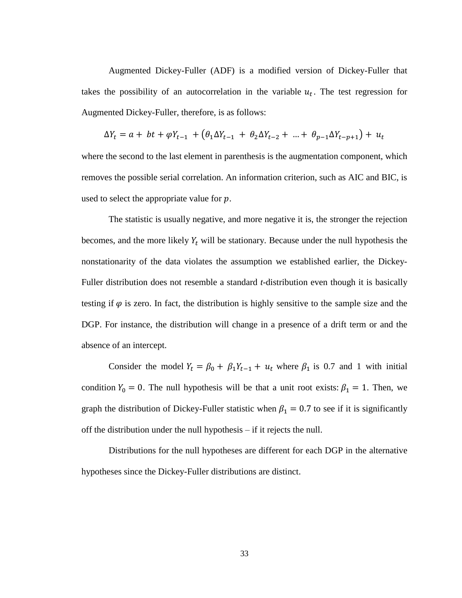Augmented Dickey-Fuller (ADF) is a modified version of Dickey-Fuller that takes the possibility of an autocorrelation in the variable  $u_t$ . The test regression for Augmented Dickey-Fuller, therefore, is as follows:

$$
\Delta Y_t = a + bt + \varphi Y_{t-1} + (\theta_1 \Delta Y_{t-1} + \theta_2 \Delta Y_{t-2} + \dots + \theta_{p-1} \Delta Y_{t-p+1}) + u_t
$$

where the second to the last element in parenthesis is the augmentation component, which removes the possible serial correlation. An information criterion, such as AIC and BIC, is used to select the appropriate value for  $p$ .

The statistic is usually negative, and more negative it is, the stronger the rejection becomes, and the more likely  $Y_t$  will be stationary. Because under the null hypothesis the nonstationarity of the data violates the assumption we established earlier, the Dickey-Fuller distribution does not resemble a standard *t*-distribution even though it is basically testing if  $\varphi$  is zero. In fact, the distribution is highly sensitive to the sample size and the DGP. For instance, the distribution will change in a presence of a drift term or and the absence of an intercept.

Consider the model  $Y_t = \beta_0 + \beta_1 Y_{t-1} + u_t$  where  $\beta_1$  is 0.7 and 1 with initial condition  $Y_0 = 0$ . The null hypothesis will be that a unit root exists:  $\beta_1 = 1$ . Then, we graph the distribution of Dickey-Fuller statistic when  $\beta_1 = 0.7$  to see if it is significantly off the distribution under the null hypothesis – if it rejects the null.

Distributions for the null hypotheses are different for each DGP in the alternative hypotheses since the Dickey-Fuller distributions are distinct.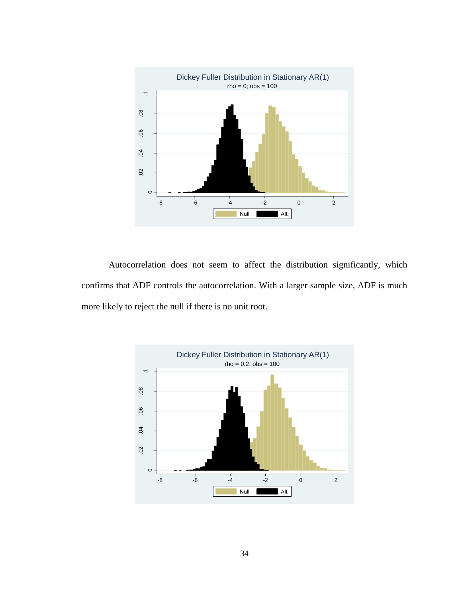

Autocorrelation does not seem to affect the distribution significantly, which confirms that ADF controls the autocorrelation. With a larger sample size, ADF is much more likely to reject the null if there is no unit root.

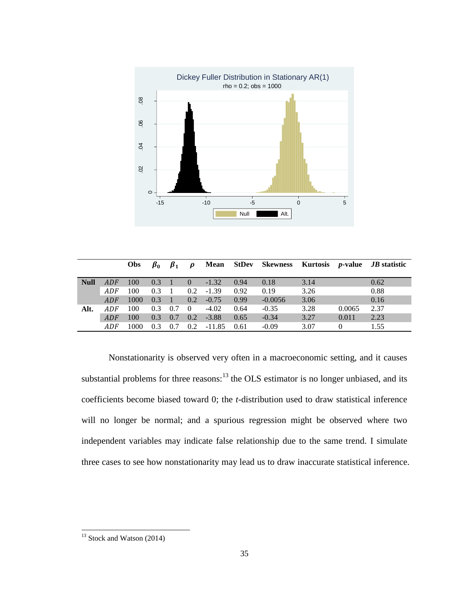

|             |     | <b>Obs</b> | $\beta_0$ | $\beta_1$      | $\boldsymbol{\rho}$              |             |      |           |      |          | Mean StDev Skewness Kurtosis <i>p</i> -value <i>JB</i> statistic |
|-------------|-----|------------|-----------|----------------|----------------------------------|-------------|------|-----------|------|----------|------------------------------------------------------------------|
| <b>Null</b> | ADF | 100        | 0.3       | $\sqrt{1}$     | $\begin{matrix} 0 \end{matrix}$  | $-1.32$     | 0.94 | 0.18      | 3.14 |          | 0.62                                                             |
|             | ADF | 100        | 0.3       | $\overline{1}$ |                                  | $0.2 -1.39$ | 0.92 | 0.19      | 3.26 |          | 0.88                                                             |
|             | ADF | 1000       | 0.3       | $\angle~17$    |                                  | $0.2 -0.75$ | 0.99 | $-0.0056$ | 3.06 |          | 0.16                                                             |
| Alt.        | ADF | 100        | 0.3       | 0.7            | $\begin{array}{c} 0 \end{array}$ | $-4.02$     | 0.64 | $-0.35$   | 3.28 | 0.0065   | 2.37                                                             |
|             | ADF | 100        | 0.3       | 0.7            |                                  | $0.2 -3.88$ | 0.65 | $-0.34$   | 3.27 | 0.011    | 2.23                                                             |
|             | ADF | 1000       | 0.3       | 0.7            | 0.2                              | -11.85      | 0.61 | $-0.09$   | 3.07 | $\Omega$ | 1.55                                                             |

Nonstationarity is observed very often in a macroeconomic setting, and it causes substantial problems for three reasons:  $13$  the OLS estimator is no longer unbiased, and its coefficients become biased toward 0; the *t*-distribution used to draw statistical inference will no longer be normal; and a spurious regression might be observed where two independent variables may indicate false relationship due to the same trend. I simulate three cases to see how nonstationarity may lead us to draw inaccurate statistical inference.

 $13$  Stock and Watson (2014)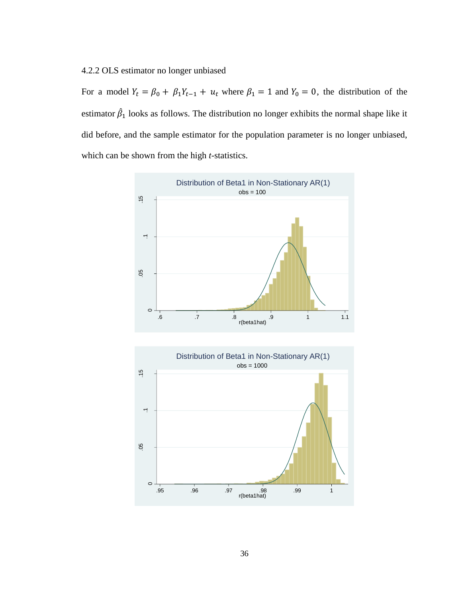# 4.2.2 OLS estimator no longer unbiased

For a model  $Y_t = \beta_0 + \beta_1 Y_{t-1} + u_t$  where  $\beta_1 = 1$  and  $Y_0 = 0$ , the distribution of the estimator  $\hat{\beta}_1$  looks as follows. The distribution no longer exhibits the normal shape like it did before, and the sample estimator for the population parameter is no longer unbiased, which can be shown from the high *t*-statistics.



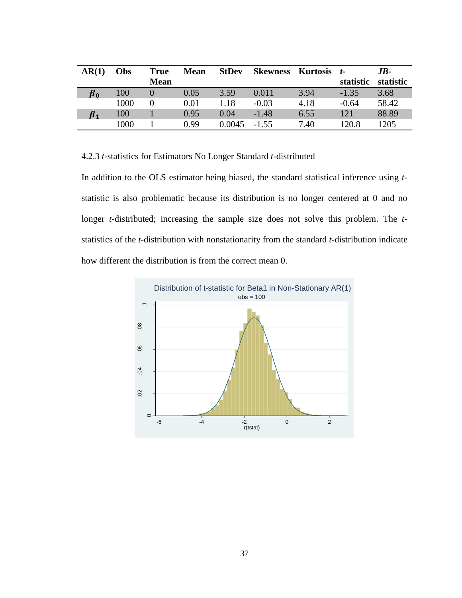| AR(1)           | Obs  | <b>True</b> | <b>Mean</b> | <b>StDev</b> | <b>Skewness</b> | Kurtosis | $t-$      | $JB-$     |
|-----------------|------|-------------|-------------|--------------|-----------------|----------|-----------|-----------|
|                 |      | <b>Mean</b> |             |              |                 |          | statistic | statistic |
| $\pmb{\beta}_0$ | 100  |             | 0.05        | 3.59         | 0.011           | 3.94     | $-1.35$   | 3.68      |
|                 | 1000 |             | 0.01        | 1.18         | $-0.03$         | 4.18     | $-0.64$   | 58.42     |
| $\beta_1$       | 100  |             | 0.95        | 0.04         | $-1.48$         | 6.55     | 121       | 88.89     |
|                 | 1000 |             | 0.99        | 0.0045       | $-1.55$         | 7.40     | 120.8     | 1205      |

4.2.3 *t*-statistics for Estimators No Longer Standard *t*-distributed

In addition to the OLS estimator being biased, the standard statistical inference using *t*statistic is also problematic because its distribution is no longer centered at 0 and no longer *t*-distributed; increasing the sample size does not solve this problem. The *t*statistics of the *t*-distribution with nonstationarity from the standard *t*-distribution indicate how different the distribution is from the correct mean 0.

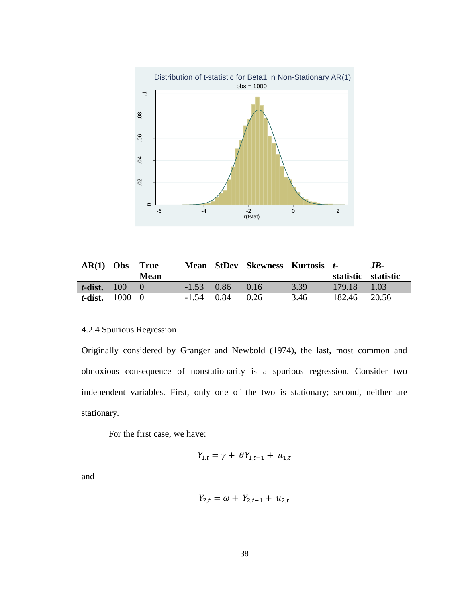

| $AR(1)$ Obs            | True<br>Mean | Mean         | <b>StDev Skewness Kurtosis t-</b> |      | statistic statistic | .IB-  |
|------------------------|--------------|--------------|-----------------------------------|------|---------------------|-------|
| $t$ -dist. 100         |              | $-1.53$ 0.86 | (116)                             | 3.39 | 179.18              | 1.03  |
| <i>t</i> -dist. $1000$ |              | $-1.54$ 0.84 | 0.26                              | 3.46 | 182.46              | 20.56 |

# 4.2.4 Spurious Regression

Originally considered by Granger and Newbold (1974), the last, most common and obnoxious consequence of nonstationarity is a spurious regression. Consider two independent variables. First, only one of the two is stationary; second, neither are stationary.

For the first case, we have:

$$
Y_{1,t} = \gamma + \theta Y_{1,t-1} + u_{1,t}
$$

and

$$
Y_{2,t} = \omega + Y_{2,t-1} + u_{2,t}
$$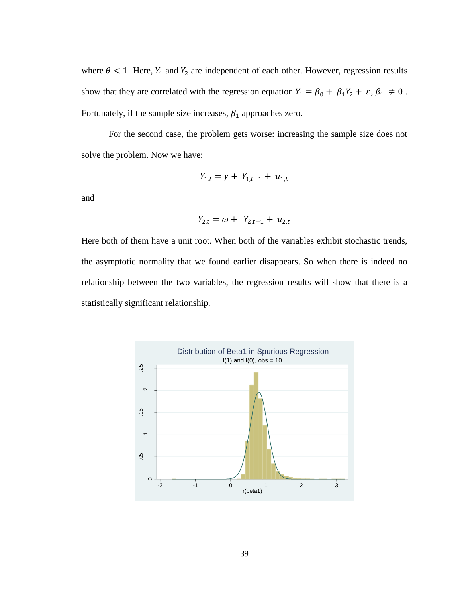where  $\theta$  < 1. Here,  $Y_1$  and  $Y_2$  are independent of each other. However, regression results show that they are correlated with the regression equation  $Y_1 = \beta_0 + \beta_1 Y_2 + \varepsilon, \beta_1 \neq 0$ . Fortunately, if the sample size increases,  $\beta_1$  approaches zero.

For the second case, the problem gets worse: increasing the sample size does not solve the problem. Now we have:

$$
Y_{1,t} = \gamma + Y_{1,t-1} + u_{1,t}
$$

and

$$
Y_{2,t} = \omega + Y_{2,t-1} + u_{2,t}
$$

Here both of them have a unit root. When both of the variables exhibit stochastic trends, the asymptotic normality that we found earlier disappears. So when there is indeed no relationship between the two variables, the regression results will show that there is a statistically significant relationship.

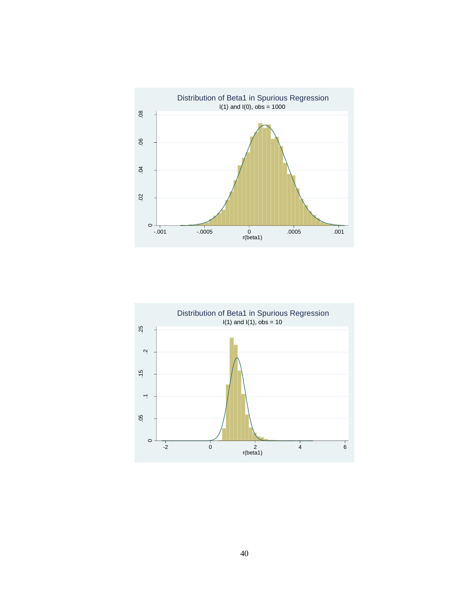

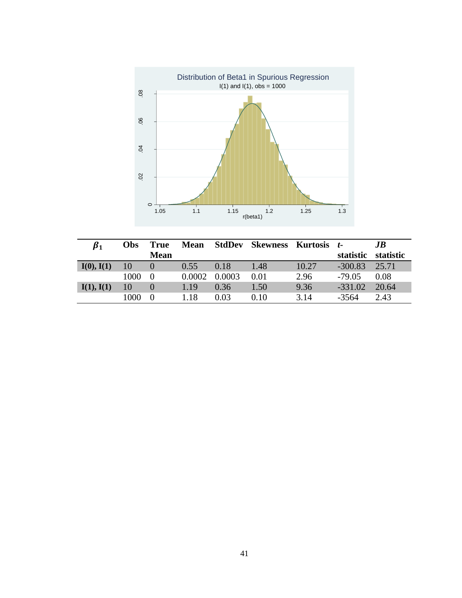

| $\beta_1$  | Obs  | <b>True</b> | <b>Mean</b> |        | StdDev Skewness Kurtosis t- |       |           | JB        |
|------------|------|-------------|-------------|--------|-----------------------------|-------|-----------|-----------|
|            |      | <b>Mean</b> |             |        |                             |       | statistic | statistic |
| I(0), I(1) | 10   |             | 0.55        | 0.18   | 1.48                        | 10.27 | $-300.83$ | 25.71     |
|            | 1000 | $\Omega$    | 0.0002      | 0.0003 | 0.01                        | 2.96  | $-79.05$  | 0.08      |
| I(1), I(1) | 10   |             | 1.19        | 0.36   | 1.50                        | 9.36  | $-331.02$ | 20.64     |
|            | 1000 | $\Omega$    | 1.18        | 0.03   | 0.10                        | 3.14  | $-3564$   | 2.43      |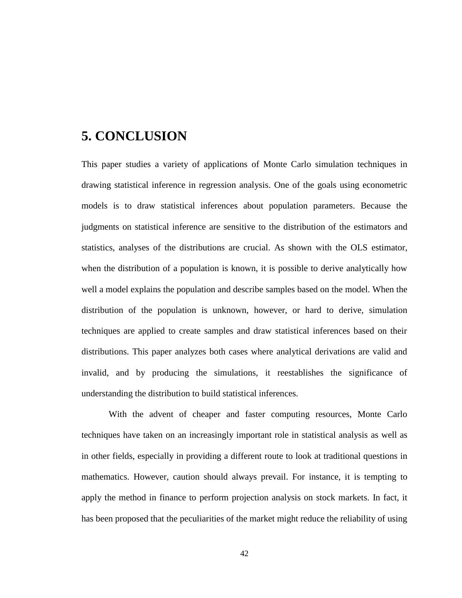# <span id="page-46-0"></span>**5. CONCLUSION**

This paper studies a variety of applications of Monte Carlo simulation techniques in drawing statistical inference in regression analysis. One of the goals using econometric models is to draw statistical inferences about population parameters. Because the judgments on statistical inference are sensitive to the distribution of the estimators and statistics, analyses of the distributions are crucial. As shown with the OLS estimator, when the distribution of a population is known, it is possible to derive analytically how well a model explains the population and describe samples based on the model. When the distribution of the population is unknown, however, or hard to derive, simulation techniques are applied to create samples and draw statistical inferences based on their distributions. This paper analyzes both cases where analytical derivations are valid and invalid, and by producing the simulations, it reestablishes the significance of understanding the distribution to build statistical inferences.

With the advent of cheaper and faster computing resources, Monte Carlo techniques have taken on an increasingly important role in statistical analysis as well as in other fields, especially in providing a different route to look at traditional questions in mathematics. However, caution should always prevail. For instance, it is tempting to apply the method in finance to perform projection analysis on stock markets. In fact, it has been proposed that the peculiarities of the market might reduce the reliability of using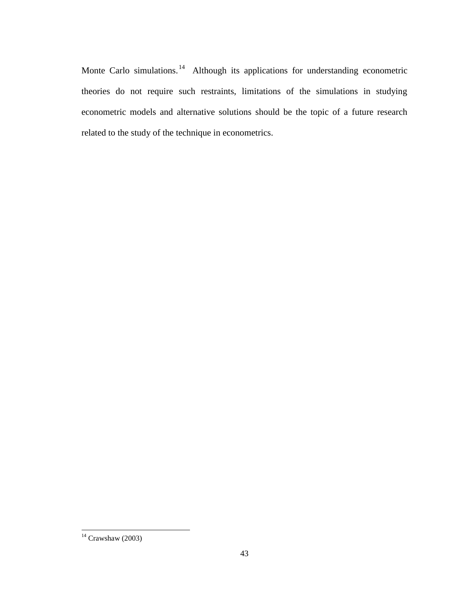Monte Carlo simulations.<sup>14</sup> Although its applications for understanding econometric theories do not require such restraints, limitations of the simulations in studying econometric models and alternative solutions should be the topic of a future research related to the study of the technique in econometrics.

 $14$  Crawshaw (2003)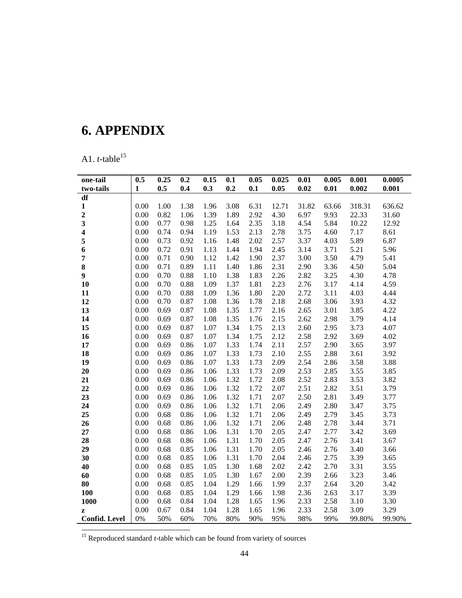# <span id="page-48-0"></span>**6. APPENDIX**

A1.  $t$ -table<sup>15</sup>

| one-tail                | 0.5          | 0.25 | 0.2  | 0.15 | 0.1  | 0.05 | 0.025 | 0.01  | 0.005 | 0.001  | 0.0005 |
|-------------------------|--------------|------|------|------|------|------|-------|-------|-------|--------|--------|
| two-tails               | $\mathbf{1}$ | 0.5  | 0.4  | 0.3  | 0.2  | 0.1  | 0.05  | 0.02  | 0.01  | 0.002  | 0.001  |
| df                      |              |      |      |      |      |      |       |       |       |        |        |
| $\mathbf{1}$            | 0.00         | 1.00 | 1.38 | 1.96 | 3.08 | 6.31 | 12.71 | 31.82 | 63.66 | 318.31 | 636.62 |
| $\overline{\mathbf{c}}$ | 0.00         | 0.82 | 1.06 | 1.39 | 1.89 | 2.92 | 4.30  | 6.97  | 9.93  | 22.33  | 31.60  |
| $\overline{\mathbf{3}}$ | 0.00         | 0.77 | 0.98 | 1.25 | 1.64 | 2.35 | 3.18  | 4.54  | 5.84  | 10.22  | 12.92  |
| 4                       | 0.00         | 0.74 | 0.94 | 1.19 | 1.53 | 2.13 | 2.78  | 3.75  | 4.60  | 7.17   | 8.61   |
| 5                       | 0.00         | 0.73 | 0.92 | 1.16 | 1.48 | 2.02 | 2.57  | 3.37  | 4.03  | 5.89   | 6.87   |
| 6                       | 0.00         | 0.72 | 0.91 | 1.13 | 1.44 | 1.94 | 2.45  | 3.14  | 3.71  | 5.21   | 5.96   |
| $\overline{7}$          | 0.00         | 0.71 | 0.90 | 1.12 | 1.42 | 1.90 | 2.37  | 3.00  | 3.50  | 4.79   | 5.41   |
| 8                       | 0.00         | 0.71 | 0.89 | 1.11 | 1.40 | 1.86 | 2.31  | 2.90  | 3.36  | 4.50   | 5.04   |
| $\boldsymbol{9}$        | 0.00         | 0.70 | 0.88 | 1.10 | 1.38 | 1.83 | 2.26  | 2.82  | 3.25  | 4.30   | 4.78   |
| 10                      | 0.00         | 0.70 | 0.88 | 1.09 | 1.37 | 1.81 | 2.23  | 2.76  | 3.17  | 4.14   | 4.59   |
| 11                      | 0.00         | 0.70 | 0.88 | 1.09 | 1.36 | 1.80 | 2.20  | 2.72  | 3.11  | 4.03   | 4.44   |
| 12                      | 0.00         | 0.70 | 0.87 | 1.08 | 1.36 | 1.78 | 2.18  | 2.68  | 3.06  | 3.93   | 4.32   |
| 13                      | 0.00         | 0.69 | 0.87 | 1.08 | 1.35 | 1.77 | 2.16  | 2.65  | 3.01  | 3.85   | 4.22   |
| 14                      | 0.00         | 0.69 | 0.87 | 1.08 | 1.35 | 1.76 | 2.15  | 2.62  | 2.98  | 3.79   | 4.14   |
| 15                      | 0.00         | 0.69 | 0.87 | 1.07 | 1.34 | 1.75 | 2.13  | 2.60  | 2.95  | 3.73   | 4.07   |
| 16                      | 0.00         | 0.69 | 0.87 | 1.07 | 1.34 | 1.75 | 2.12  | 2.58  | 2.92  | 3.69   | 4.02   |
| 17                      | 0.00         | 0.69 | 0.86 | 1.07 | 1.33 | 1.74 | 2.11  | 2.57  | 2.90  | 3.65   | 3.97   |
| 18                      | 0.00         | 0.69 | 0.86 | 1.07 | 1.33 | 1.73 | 2.10  | 2.55  | 2.88  | 3.61   | 3.92   |
| 19                      | 0.00         | 0.69 | 0.86 | 1.07 | 1.33 | 1.73 | 2.09  | 2.54  | 2.86  | 3.58   | 3.88   |
| 20                      | 0.00         | 0.69 | 0.86 | 1.06 | 1.33 | 1.73 | 2.09  | 2.53  | 2.85  | 3.55   | 3.85   |
| 21                      | 0.00         | 0.69 | 0.86 | 1.06 | 1.32 | 1.72 | 2.08  | 2.52  | 2.83  | 3.53   | 3.82   |
| 22                      | 0.00         | 0.69 | 0.86 | 1.06 | 1.32 | 1.72 | 2.07  | 2.51  | 2.82  | 3.51   | 3.79   |
| 23                      | 0.00         | 0.69 | 0.86 | 1.06 | 1.32 | 1.71 | 2.07  | 2.50  | 2.81  | 3.49   | 3.77   |
| 24                      | 0.00         | 0.69 | 0.86 | 1.06 | 1.32 | 1.71 | 2.06  | 2.49  | 2.80  | 3.47   | 3.75   |
| 25                      | 0.00         | 0.68 | 0.86 | 1.06 | 1.32 | 1.71 | 2.06  | 2.49  | 2.79  | 3.45   | 3.73   |
| 26                      | 0.00         | 0.68 | 0.86 | 1.06 | 1.32 | 1.71 | 2.06  | 2.48  | 2.78  | 3.44   | 3.71   |
| 27                      | 0.00         | 0.68 | 0.86 | 1.06 | 1.31 | 1.70 | 2.05  | 2.47  | 2.77  | 3.42   | 3.69   |
| 28                      | 0.00         | 0.68 | 0.86 | 1.06 | 1.31 | 1.70 | 2.05  | 2.47  | 2.76  | 3.41   | 3.67   |
| 29                      | 0.00         | 0.68 | 0.85 | 1.06 | 1.31 | 1.70 | 2.05  | 2.46  | 2.76  | 3.40   | 3.66   |
| 30                      | 0.00         | 0.68 | 0.85 | 1.06 | 1.31 | 1.70 | 2.04  | 2.46  | 2.75  | 3.39   | 3.65   |
| 40                      | 0.00         | 0.68 | 0.85 | 1.05 | 1.30 | 1.68 | 2.02  | 2.42  | 2.70  | 3.31   | 3.55   |
| 60                      | 0.00         | 0.68 | 0.85 | 1.05 | 1.30 | 1.67 | 2.00  | 2.39  | 2.66  | 3.23   | 3.46   |
| 80                      | 0.00         | 0.68 | 0.85 | 1.04 | 1.29 | 1.66 | 1.99  | 2.37  | 2.64  | 3.20   | 3.42   |
| <b>100</b>              | 0.00         | 0.68 | 0.85 | 1.04 | 1.29 | 1.66 | 1.98  | 2.36  | 2.63  | 3.17   | 3.39   |
| 1000                    | 0.00         | 0.68 | 0.84 | 1.04 | 1.28 | 1.65 | 1.96  | 2.33  | 2.58  | 3.10   | 3.30   |
| $\mathbf{z}$            | 0.00         | 0.67 | 0.84 | 1.04 | 1.28 | 1.65 | 1.96  | 2.33  | 2.58  | 3.09   | 3.29   |
| <b>Confid.</b> Level    | 0%           | 50%  | 60%  | 70%  | 80%  | 90%  | 95%   | 98%   | 99%   | 99.80% | 99.90% |

<sup>15</sup> Reproduced standard *t*-table which can be found from variety of sources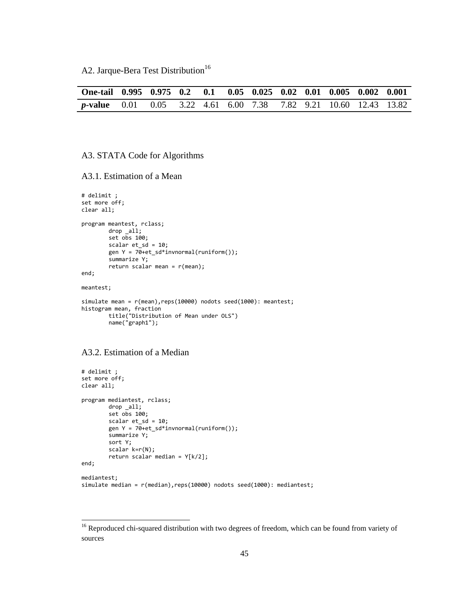A2. Jarque-Bera Test Distribution<sup>16</sup>

| One-tail 0.995 0.975 0.2 0.1 0.05 0.025 0.02 0.01 0.005 0.002 0.001      |  |  |  |  |  |  |
|--------------------------------------------------------------------------|--|--|--|--|--|--|
| <b>p-value</b> 0.01 0.05 3.22 4.61 6.00 7.38 7.82 9.21 10.60 12.43 13.82 |  |  |  |  |  |  |

#### A3. STATA Code for Algorithms

A3.1. Estimation of a Mean

```
# delimit ;
set more off;
clear all;
program meantest, rclass;
        drop _all;
        set obs 100; 
        scalar et_sd = 10;
        gen Y = 70+et_sd*invnormal(runiform());
        summarize Y;
        return scalar mean = r(mean);
end;
meantest;
simulate mean = r(mean),reps(10000) nodots seed(1000): meantest;
histogram mean, fraction
        title("Distribution of Mean under OLS")
        name("graph1");
```
#### A3.2. Estimation of a Median

```
# delimit ;
set more off;
clear all;
program mediantest, rclass;
        drop _all;
        set obs 100; 
        scalar et\_sd = 10;
        gen Y = 70 + et_s d*innormal(runiform());
        summarize Y;
        sort Y;
        scalar k=r(N);
        return scalar median = Y[k/2];
end;
mediantest;
simulate median = r(median),reps(10000) nodots seed(1000): mediantest;
```
<sup>&</sup>lt;sup>16</sup> Reproduced chi-squared distribution with two degrees of freedom, which can be found from variety of sources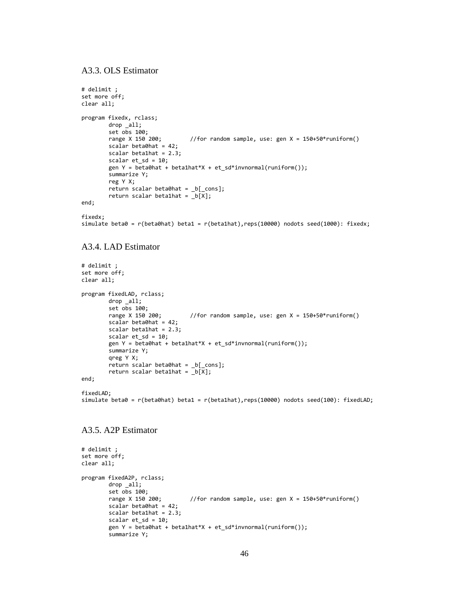A3.3. OLS Estimator

```
# delimit ;
set more off;
clear all;
program fixedx, rclass;
        drop _all;
        set obs 100; 
        range X 150 200; //for random sample, use: gen X = 150+50*runiform()
        scalar beta\thetahat = 42;
        scalar beta1hat = 2.3;
        scalar et_sd = 10; 
        gen Y = beta0hat + beta1hat*X + et sd*invnormal(runiform());
        summarize Y;
        reg Y X;
        return scalar beta0hat = _b[_cons];
        return scalar beta1hat = _b[X];end;
```

```
fixedx;
simulate beta0 = r(beta0hat) beta1 = r(beta1hat),reps(10000) nodots seed(1000): fixedx;
```
### A3.4. LAD Estimator

```
# delimit ;
set more off;
clear all;
program fixedLAD, rclass;
        drop all;
        set obs 100;<br>range X 150 200;
                                  //for random sample, use: gen X = 150+50*runiform()
        scalar beta0hat = 42;
        scalar beta1hat = 2.3;
        scalar et_sd = 10; 
        gen Y = beta0hat + beta1hat*X + et_sd*invnormal(runiform());
        summarize Y;
        qreg Y X;
        return scalar beta0hat = _b[_cons];
        return scalar beta1hat = _b[X];
end;
fixedLAD:
simulate beta0 = r(beta0hat) beta1 = r(beta1hat),reps(10000) nodots seed(100): fixedLAD;
```

```
A3.5. A2P Estimator
```

```
# delimit ;
set more off;
clear all;
program fixedA2P, rclass;
          drop _all;
          set obs 100;<br>range X 150 200;
                                          //for random sample, use: gen X = 150+50*runiform()
          scalar beta0hat = 42;
          scalar beta1hat = 2.\overline{3};
          scalar et_sd = 10; 
          gen Y = \overline{\text{betaTheta}} + \text{beta} + \text{delta} + \text{et}\_s + \text{std} + \text{invnorm}(1);
          summarize Y;
```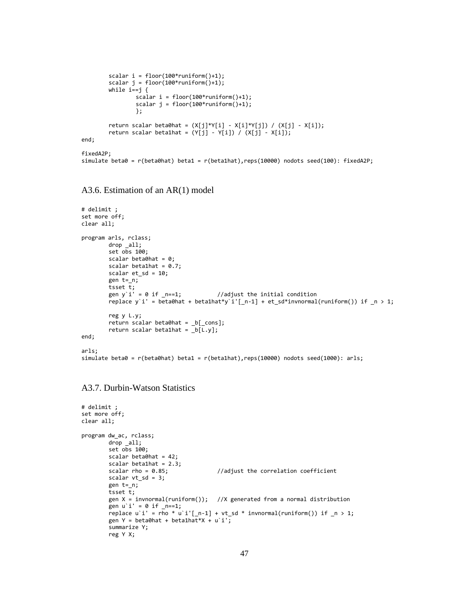```
scalar i = floor(100*runiform() + 1);scalar j = floor(100*runiform()+1);
        while i == j {
                scalar i = floor(100*runiform() + 1);scalar j = floor(100*runiform()+1);
                };
        return scalar beta0hat = (X[j]*Y[i] - X[i]*Y[j]) / (X[j] - X[i]);return scalar beta1hat = (Y[j] - Y[i]) / (X[j] - X[i]);
end;
fixedA2P;
simulate beta0 = r(beta0hat) beta1 = r(beta1hat),reps(10000) nodots seed(100): fixedA2P;
```
A3.6. Estimation of an AR(1) model

```
# delimit ;
set more off;
clear all;
program arls, rclass;
        drop _all;
        set obs 100; 
        scalar beta\thetahat = \theta;
        scalar beta1hat = 0.7;
        scalar et_sd = 10; 
        gen t=_n;
        tsset t;<br>gen y`i' = 0 if _n==1;
                                            //adjust the initial condition
        replace y`i' = beta0hat + beta1hat*y`i'[_n-1] + et_sd*invnormal(runiform()) if _n > 1;
        reg y L.y;
        return scalar beta0hat = _b[_cons];
        return scalar beta1hat = \overline{b[L,y]};
end;
arls;
simulate beta0 = r(beta0hat) beta1 = r(beta1hat),reps(10000) nodots seed(1000): arls;
```
A3.7. Durbin-Watson Statistics

```
# delimit ;
set more off;
clear all;
program dw_ac, rclass;
        drop _all;
        set obs 100; 
        scalar beta0hat = 42;
        scalar beta1hat = 2.3;<br>scalar rho = 0.85;
                                             //adjust the correlation coefficient
        scalar vt_sd = 3;
        gen t=_n;
        tsset t;
        gen X = \text{invnormal}(\text{runiform}()); //X generated from a normal distribution
         gen u i' = 0 if n=1;
        replace u i' = rho * u i'[_n-1] + vt_sd * invnormal(runiform()) if \sqrt{ } > 1;
        gen Y = beta\thetahat + beta1hat*X + u`i';
        summarize Y;
        reg Y X;
```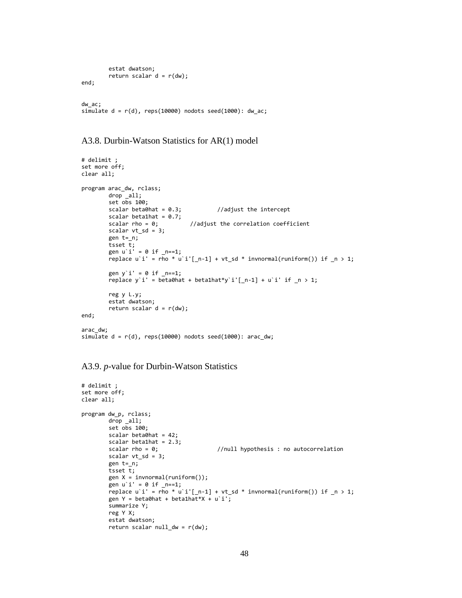```
estat dwatson;
        return scalar d = r(dw);
end;
dw_ac;
simulate d = r(d), reps(10000) nodots seed(1000): dw_a c;
```
A3.8. Durbin-Watson Statistics for AR(1) model

```
# delimit ;
set more off;
clear all;
program arac_dw, rclass;
        drop _all;
        set obs 100; 
        scalar beta\thetahat = 0.3; //adjust the intercept
        scalar beta1hat = 0.7;<br>scalar rho = 0;
                                   //adjust the correlation coefficient
        scalar vt_sd = 3;
        gen t = n;
         tsset t;
         gen u`i' = 0 if _n==1;
        replace u'i' = rho * u'i'[ n-1] + vt sd * invnormal(runiform()) if n > 1;
        gen y<sup>\cdot</sup> i' = 0 if n=1;
        replace y`i' = beta0hat + beta1hat*y`i'[_n-1] + u`i' if \sqrt{ } > 1;
        reg y L.y;
        estat dwatson;
        return scalar d = r(dw);
end;
arac_dw;
simulate d = r(d), reps(10000) nodots seed(1000): arac_dw;
```

```
A3.9. p-value for Durbin-Watson Statistics
```

```
# delimit ;
set more off;
clear all;
program dw_p, rclass;
        drop all;
         set obs 100; 
        scalar beta0hat = 42;
        scalar beta1hat = 2.3;<br>scalar rho = 0;
                                            //null hypothesis : no autocorrelation
        scalar vt_sd = 3;
        gen t=_n;
        tsset \overline{t};
        gen X = invnormal(runiform());
        gen u i' = 0 if _{n=1};
        replace u i' = rho * u i'[_n-1] + vt_sd * invnormal(runiform()) if _n > 1;
        gen Y = beta\thetahat + beta1hat*X + u`i';
        summarize Y;
        reg Y X;
        estat dwatson;
        return scalar null_dw = r(dw);
```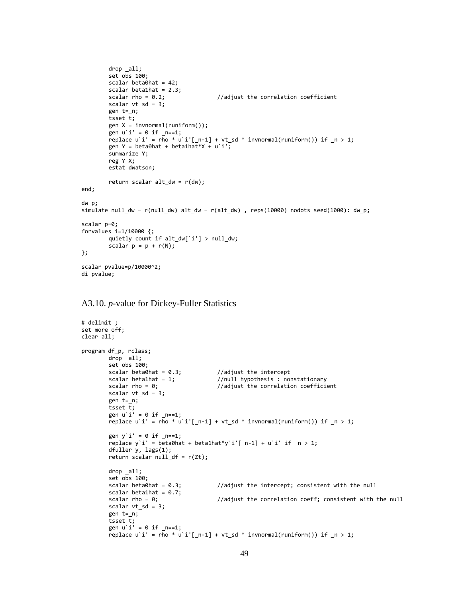```
drop _all;
        set obs 100; 
        scalar beta0hat = 42;
        scalar beta1hat = 2.3;
        scalar rho = 0.2; //adjust the correlation coefficient
        scalar vt\_sd = 3;
        gen t=_n;
        \frac{1}{2} tsset t;
        gen X = \text{invnormal}(\text{runiform}());
        gen u i' = \theta if \mu==1;
        replace u'i' = rho * u'i'[ n-1] + vt sd * invnormal(runiform()) if n > 1;
        gen Y = beta0hat + beta1hat*X + u'i';summarize Y;
        reg Y X;
        estat dwatson;
        return scalar alt_dw = r(dw);
end;
dw_p;
simulate null_dw = r(null_dw) alt_dw = r(alt_dw) , reps(10000) nodots seed(1000): dw_p;
scalar p=0;
forvalues i=1/10000 {;
        quietly count if alt_dw[`i'] > null_dw;
        scalar p = p + r(N);
};
scalar pvalue=p/10000^2;
di pvalue;
```
#### A3.10. *p*-value for Dickey-Fuller Statistics

```
# delimit ;
set more off;
clear all;
program df_p, rclass;
        drop _all;
        set \overline{obs} 100;<br>scalar beta0hat = 0.3;
        scalar beta0hat = 0.3; <br>scalar beta1hat = 1; //null hypothesis : no
                                             //null hypothesis : nonstationary
         scalar rho = 0; \frac{1}{2} //adjust the correlation coefficient
        scalar vt\_sd = 3;
        gen t=_n;
        tsset t;
        gen u<sup>'</sup> i' = 0 if n==1;
        replace u`i' = \overline{r}ho * u`i'[_n-1] + vt_sd * invnormal(runiform()) if _n > 1;
        gen y i' = 0 if _n == 1;
        replace y<sup>'</sup> i' = beta0hat + beta1hat*y'i'[_n-1] + u'i' if _n > 1;
        dfuller y, lags(1);
        return scalar null_df = r(Zt);
        drop _all;
        set obs 100;<br>scalar beta0hat = 0.3;
                                             //adjust the intercept; consistent with the null
        scalar beta1hat = 0.7;
        scalar rho = 0; //adjust the correlation coeff; consistent with the null
        scalar vt_sd = 3;
        gen t=_n;
         tsset t;
         gen u`i' = 0 if _n==1;
         replace u i' = rho * u i'[_n-1] + vt_sd * invnormal(runiform()) if _n > 1;
```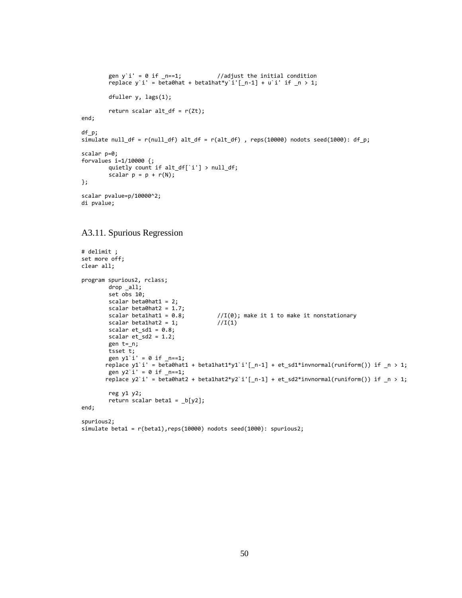```
gen y i' = 0 if n=1; //adjust the initial condition
        replace y`i' = beta0hat + beta1hat*y`i'[_n-1] + u`i' if _n > 1;
        dfuller y, lags(1);
        return scalar alt_df = r(zt);
end;
df_p;
simulate null_df = r(null_df) alt_df = r(alt_df), reps(10000) nodots seed(1000): df_p;
scalar p=0;
forvalues i=1/10000 {;
        quietly count if alt_df[`i'] > null_df;
        scalar p = p + r(N);
};
scalar pvalue=p/10000^2;
di pvalue;
```
#### A3.11. Spurious Regression

```
# delimit ;
set more off;
clear all;
program spurious2, rclass;
         drop _all;
         set obs 10; 
         scalar beta\thetahat1 = 2;
         scalar beta0hat2 = 1.7;<br>scalar beta1hat1 = 0.8;
                                               \frac{1}{I(0)}; make it 1 to make it nonstationary<br>\frac{1}{I(1)}scalar beta1hat2 = 1;scalar et\_sd1 = 0.8;
         scalar et sd2 = 1.2;
         gen t=_n;
         tsset \overline{t};
         gen y1<sup>i</sup> = 0 if _n == 1;
        replace y1`i' = beta0hat1 + beta1hat1*y1`i'[_n-1] + et_sd1*invnormal(runiform()) if _n > 1;
         gen y2 i' = 0 if _n == 1;
        replace y2`i' = beta0hat2 + beta1hat2*y2`i'[_n-1] + et_sd2*invnormal(runiform()) if _n > 1;
         reg y1 y2;
         return scalar beta1 = \lfloor b[y2] \rfloor;
end;
spurious2;
simulate beta1 = r(beta1), reps(10000) nodots seed(1000): spurious2;
```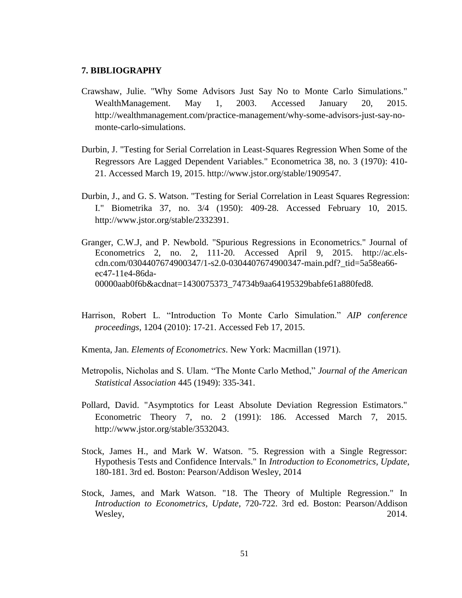### <span id="page-55-0"></span>**7. BIBLIOGRAPHY**

- Crawshaw, Julie. "Why Some Advisors Just Say No to Monte Carlo Simulations." WealthManagement. May 1, 2003. Accessed January 20, 2015. http://wealthmanagement.com/practice-management/why-some-advisors-just-say-nomonte-carlo-simulations.
- Durbin, J. "Testing for Serial Correlation in Least-Squares Regression When Some of the Regressors Are Lagged Dependent Variables." Econometrica 38, no. 3 (1970): 410- 21. Accessed March 19, 2015. http://www.jstor.org/stable/1909547.
- Durbin, J., and G. S. Watson. "Testing for Serial Correlation in Least Squares Regression: I." Biometrika 37, no. 3/4 (1950): 409-28. Accessed February 10, 2015. http://www.jstor.org/stable/2332391.
- Granger, C.W.J, and P. Newbold. "Spurious Regressions in Econometrics." Journal of Econometrics 2, no. 2, 111-20. Accessed April 9, 2015. http://ac.elscdn.com/0304407674900347/1-s2.0-0304407674900347-main.pdf?\_tid=5a58ea66 ec47-11e4-86da-00000aab0f6b&acdnat=1430075373\_74734b9aa64195329babfe61a880fed8.
- Harrison, Robert L. "Introduction To Monte Carlo Simulation." *AIP conference proceedings*, 1204 (2010): 17-21. Accessed Feb 17, 2015.
- Kmenta, Jan. *Elements of Econometrics*. New York: Macmillan (1971).
- Metropolis, Nicholas and S. Ulam. "The Monte Carlo Method," *Journal of the American Statistical Association* 445 (1949): 335-341.
- Pollard, David. "Asymptotics for Least Absolute Deviation Regression Estimators." Econometric Theory 7, no. 2 (1991): 186. Accessed March 7, 2015. http://www.jstor.org/stable/3532043.
- Stock, James H., and Mark W. Watson. "5. Regression with a Single Regressor: Hypothesis Tests and Confidence Intervals." In *Introduction to Econometrics, Update*, 180-181. 3rd ed. Boston: Pearson/Addison Wesley, 2014
- Stock, James, and Mark Watson. "18. The Theory of Multiple Regression." In *Introduction to Econometrics, Update*, 720-722. 3rd ed. Boston: Pearson/Addison Wesley, 2014.